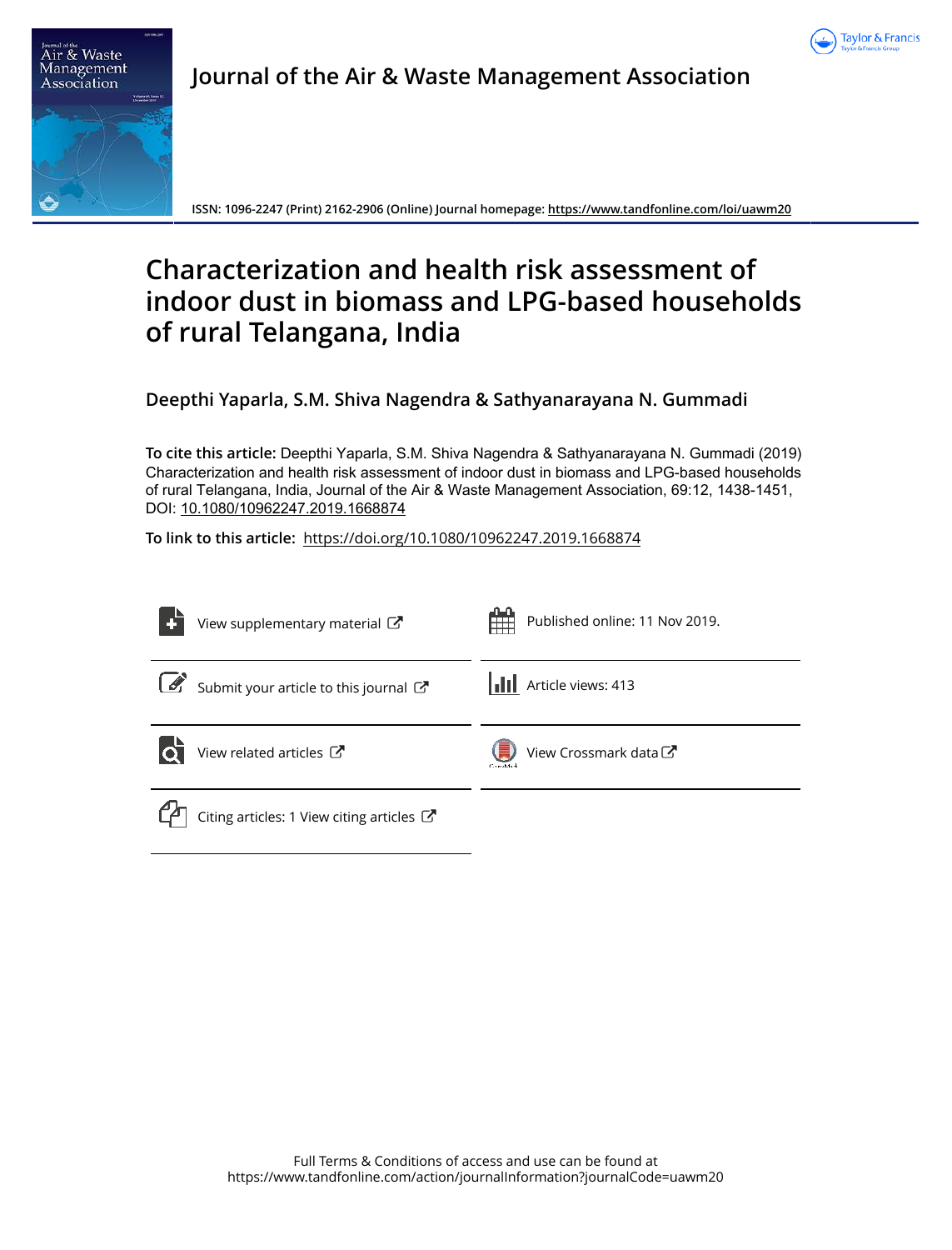



**Journal of the Air & Waste Management Association**

**ISSN: 1096-2247 (Print) 2162-2906 (Online) Journal homepage: https://www.tandfonline.com/loi/uawm20**

# **Characterization and health risk assessment of indoor dust in biomass and LPG-based households of rural Telangana, India**

**Deepthi Yaparla, S.M. Shiva Nagendra & Sathyanarayana N. Gummadi**

**To cite this article:** Deepthi Yaparla, S.M. Shiva Nagendra & Sathyanarayana N. Gummadi (2019) Characterization and health risk assessment of indoor dust in biomass and LPG-based households of rural Telangana, India, Journal of the Air & Waste Management Association, 69:12, 1438-1451, DOI: 10.1080/10962247.2019.1668874

**To link to this article:** https://doi.org/10.1080/10962247.2019.1668874

| View supplementary material C                                  | Published online: 11 Nov 2019.    |
|----------------------------------------------------------------|-----------------------------------|
| $\mathcal{L}$<br>Submit your article to this journal           | <b>III</b> Article views: 413     |
| View related articles $\mathbb{Z}$<br>lo                       | View Crossmark data<br>Carrellade |
| Citing articles: 1 View citing articles $\mathbb{Z}^{\bullet}$ |                                   |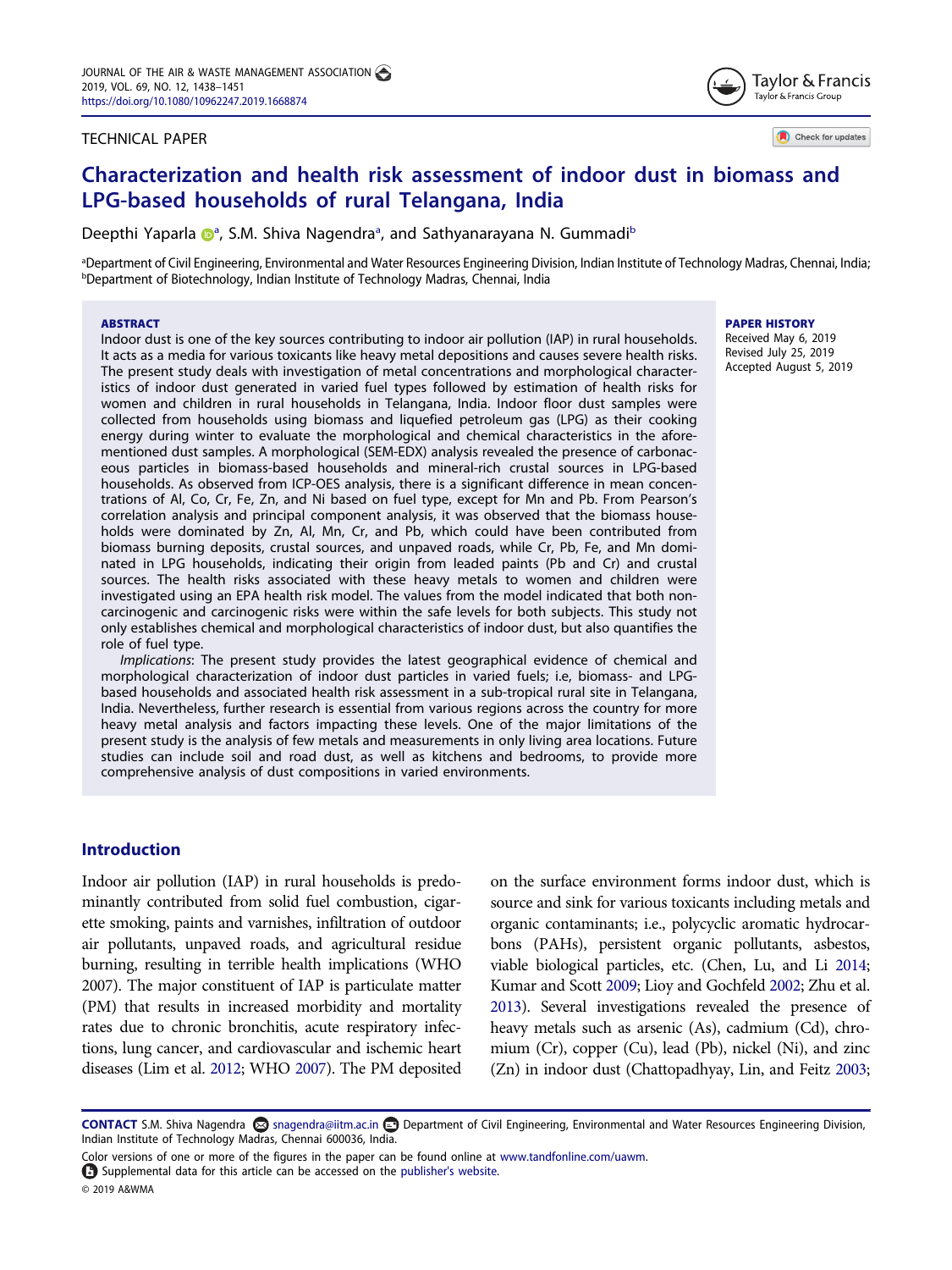## TECHNICAL PAPER



Check for updates

## Characterization and health risk assessment of indoor dust in biomass and LPG-based households of rural Telangana, India

Deepthi Yaparla @<sup>a</sup>, S.M. Shiva Nagendra<sup>a</sup>, and Sathyanarayana N. Gummadi<sup>b</sup>

aDepartment of Civil Engineering, Environmental and Water Resources Engineering Division, Indian Institute of Technology Madras, Chennai, India; <sup>b</sup>Department of Biotechnology, Indian Institute of Technology Madras, Chennai, India

#### **ABSTRACT**

Indoor dust is one of the key sources contributing to indoor air pollution (IAP) in rural households. It acts as a media for various toxicants like heavy metal depositions and causes severe health risks. The present study deals with investigation of metal concentrations and morphological characteristics of indoor dust generated in varied fuel types followed by estimation of health risks for women and children in rural households in Telangana, India. Indoor floor dust samples were collected from households using biomass and liquefied petroleum gas (LPG) as their cooking energy during winter to evaluate the morphological and chemical characteristics in the aforementioned dust samples. A morphological (SEM-EDX) analysis revealed the presence of carbonaceous particles in biomass-based households and mineral-rich crustal sources in LPG-based households. As observed from ICP-OES analysis, there is a significant difference in mean concentrations of Al, Co, Cr, Fe, Zn, and Ni based on fuel type, except for Mn and Pb. From Pearson's correlation analysis and principal component analysis, it was observed that the biomass households were dominated by Zn, Al, Mn, Cr, and Pb, which could have been contributed from biomass burning deposits, crustal sources, and unpaved roads, while Cr, Pb, Fe, and Mn dominated in LPG households, indicating their origin from leaded paints (Pb and Cr) and crustal sources. The health risks associated with these heavy metals to women and children were investigated using an EPA health risk model. The values from the model indicated that both noncarcinogenic and carcinogenic risks were within the safe levels for both subjects. This study not only establishes chemical and morphological characteristics of indoor dust, but also quantifies the role of fuel type.

Implications: The present study provides the latest geographical evidence of chemical and morphological characterization of indoor dust particles in varied fuels; i.e, biomass- and LPGbased households and associated health risk assessment in a sub-tropical rural site in Telangana, India. Nevertheless, further research is essential from various regions across the country for more heavy metal analysis and factors impacting these levels. One of the major limitations of the present study is the analysis of few metals and measurements in only living area locations. Future studies can include soil and road dust, as well as kitchens and bedrooms, to provide more comprehensive analysis of dust compositions in varied environments.

## Introduction

Indoor air pollution (IAP) in rural households is predominantly contributed from solid fuel combustion, cigarette smoking, paints and varnishes, infiltration of outdoor air pollutants, unpaved roads, and agricultural residue burning, resulting in terrible health implications (WHO 2007). The major constituent of IAP is particulate matter (PM) that results in increased morbidity and mortality rates due to chronic bronchitis, acute respiratory infections, lung cancer, and cardiovascular and ischemic heart diseases (Lim et al. 2012; WHO 2007). The PM deposited on the surface environment forms indoor dust, which is source and sink for various toxicants including metals and organic contaminants; i.e., polycyclic aromatic hydrocarbons (PAHs), persistent organic pollutants, asbestos, viable biological particles, etc. (Chen, Lu, and Li 2014; Kumar and Scott 2009; Lioy and Gochfeld 2002; Zhu et al. 2013). Several investigations revealed the presence of heavy metals such as arsenic (As), cadmium (Cd), chromium (Cr), copper (Cu), lead (Pb), nickel (Ni), and zinc (Zn) in indoor dust (Chattopadhyay, Lin, and Feitz 2003;

© 2019 A&WMA

## PAPER HISTORY

Received May 6, 2019 Revised July 25, 2019 Accepted August 5, 2019

CONTACT S.M. Shiva Nagendra ⊠ snagendra@iitm.ac.in **D** Department of Civil Engineering, Environmental and Water Resources Engineering Division, Indian Institute of Technology Madras, Chennai 600036, India.

Color versions of one or more of the figures in the paper can be found online at www.tandfonline.com/uawm.

Supplemental data for this article can be accessed on the publisher's website.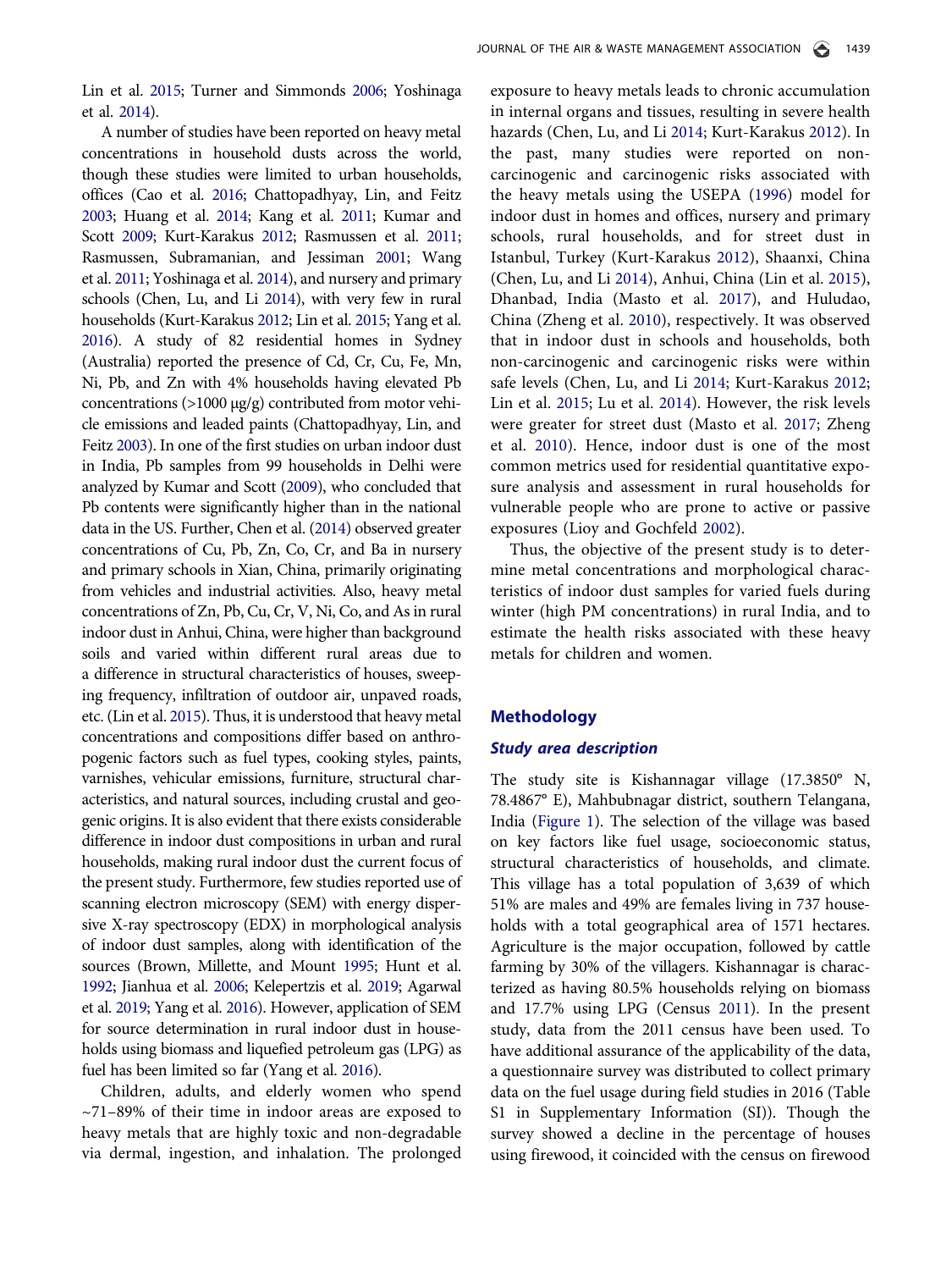Lin et al. 2015; Turner and Simmonds 2006; Yoshinaga et al. 2014).

A number of studies have been reported on heavy metal concentrations in household dusts across the world, though these studies were limited to urban households, offices (Cao et al. 2016; Chattopadhyay, Lin, and Feitz 2003; Huang et al. 2014; Kang et al. 2011; Kumar and Scott 2009; Kurt-Karakus 2012; Rasmussen et al. 2011; Rasmussen, Subramanian, and Jessiman 2001; Wang et al. 2011; Yoshinaga et al. 2014), and nursery and primary schools (Chen, Lu, and Li 2014), with very few in rural households (Kurt-Karakus 2012; Lin et al. 2015; Yang et al. 2016). A study of 82 residential homes in Sydney (Australia) reported the presence of Cd, Cr, Cu, Fe, Mn, Ni, Pb, and Zn with 4% households having elevated Pb concentrations (>1000 µg/g) contributed from motor vehicle emissions and leaded paints (Chattopadhyay, Lin, and Feitz 2003). In one of the first studies on urban indoor dust in India, Pb samples from 99 households in Delhi were analyzed by Kumar and Scott (2009), who concluded that Pb contents were significantly higher than in the national data in the US. Further, Chen et al. (2014) observed greater concentrations of Cu, Pb, Zn, Co, Cr, and Ba in nursery and primary schools in Xian, China, primarily originating from vehicles and industrial activities. Also, heavy metal concentrations of Zn, Pb, Cu, Cr, V, Ni, Co, and As in rural indoor dust in Anhui, China, were higher than background soils and varied within different rural areas due to a difference in structural characteristics of houses, sweeping frequency, infiltration of outdoor air, unpaved roads, etc. (Lin et al. 2015). Thus, it is understood that heavy metal concentrations and compositions differ based on anthropogenic factors such as fuel types, cooking styles, paints, varnishes, vehicular emissions, furniture, structural characteristics, and natural sources, including crustal and geogenic origins. It is also evident that there exists considerable difference in indoor dust compositions in urban and rural households, making rural indoor dust the current focus of the present study. Furthermore, few studies reported use of scanning electron microscopy (SEM) with energy dispersive X-ray spectroscopy (EDX) in morphological analysis of indoor dust samples, along with identification of the sources (Brown, Millette, and Mount 1995; Hunt et al. 1992; Jianhua et al. 2006; Kelepertzis et al. 2019; Agarwal et al. 2019; Yang et al. 2016). However, application of SEM for source determination in rural indoor dust in households using biomass and liquefied petroleum gas (LPG) as fuel has been limited so far (Yang et al. 2016).

Children, adults, and elderly women who spend  $~1$ –89% of their time in indoor areas are exposed to heavy metals that are highly toxic and non-degradable via dermal, ingestion, and inhalation. The prolonged

exposure to heavy metals leads to chronic accumulation in internal organs and tissues, resulting in severe health hazards (Chen, Lu, and Li 2014; Kurt-Karakus 2012). In the past, many studies were reported on noncarcinogenic and carcinogenic risks associated with the heavy metals using the USEPA (1996) model for indoor dust in homes and offices, nursery and primary schools, rural households, and for street dust in Istanbul, Turkey (Kurt-Karakus 2012), Shaanxi, China (Chen, Lu, and Li 2014), Anhui, China (Lin et al. 2015), Dhanbad, India (Masto et al. 2017), and Huludao, China (Zheng et al. 2010), respectively. It was observed that in indoor dust in schools and households, both non-carcinogenic and carcinogenic risks were within safe levels (Chen, Lu, and Li 2014; Kurt-Karakus 2012; Lin et al. 2015; Lu et al. 2014). However, the risk levels were greater for street dust (Masto et al. 2017; Zheng et al. 2010). Hence, indoor dust is one of the most common metrics used for residential quantitative exposure analysis and assessment in rural households for vulnerable people who are prone to active or passive exposures (Lioy and Gochfeld 2002).

Thus, the objective of the present study is to determine metal concentrations and morphological characteristics of indoor dust samples for varied fuels during winter (high PM concentrations) in rural India, and to estimate the health risks associated with these heavy metals for children and women.

## Methodology

## Study area description

The study site is Kishannagar village (17.3850° N, 78.4867° E), Mahbubnagar district, southern Telangana, India (Figure 1). The selection of the village was based on key factors like fuel usage, socioeconomic status, structural characteristics of households, and climate. This village has a total population of 3,639 of which 51% are males and 49% are females living in 737 households with a total geographical area of 1571 hectares. Agriculture is the major occupation, followed by cattle farming by 30% of the villagers. Kishannagar is characterized as having 80.5% households relying on biomass and 17.7% using LPG (Census 2011). In the present study, data from the 2011 census have been used. To have additional assurance of the applicability of the data, a questionnaire survey was distributed to collect primary data on the fuel usage during field studies in 2016 (Table S1 in Supplementary Information (SI)). Though the survey showed a decline in the percentage of houses using firewood, it coincided with the census on firewood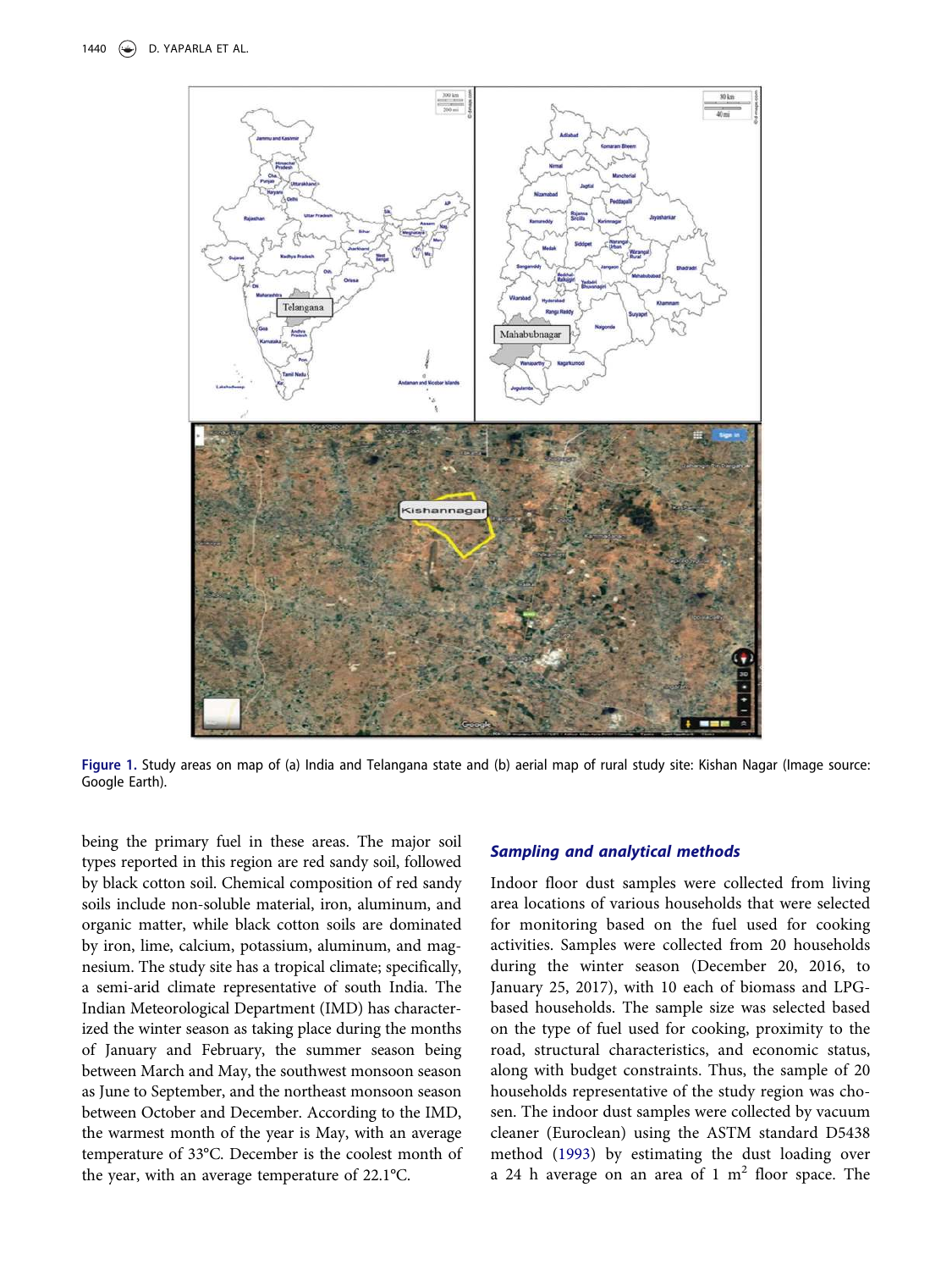

Figure 1. Study areas on map of (a) India and Telangana state and (b) aerial map of rural study site: Kishan Nagar (Image source: Google Earth).

being the primary fuel in these areas. The major soil types reported in this region are red sandy soil, followed by black cotton soil. Chemical composition of red sandy soils include non-soluble material, iron, aluminum, and organic matter, while black cotton soils are dominated by iron, lime, calcium, potassium, aluminum, and magnesium. The study site has a tropical climate; specifically, a semi-arid climate representative of south India. The Indian Meteorological Department (IMD) has characterized the winter season as taking place during the months of January and February, the summer season being between March and May, the southwest monsoon season as June to September, and the northeast monsoon season between October and December. According to the IMD, the warmest month of the year is May, with an average temperature of 33°C. December is the coolest month of the year, with an average temperature of 22.1°C.

## Sampling and analytical methods

Indoor floor dust samples were collected from living area locations of various households that were selected for monitoring based on the fuel used for cooking activities. Samples were collected from 20 households during the winter season (December 20, 2016, to January 25, 2017), with 10 each of biomass and LPGbased households. The sample size was selected based on the type of fuel used for cooking, proximity to the road, structural characteristics, and economic status, along with budget constraints. Thus, the sample of 20 households representative of the study region was chosen. The indoor dust samples were collected by vacuum cleaner (Euroclean) using the ASTM standard D5438 method (1993) by estimating the dust loading over a 24 h average on an area of  $1 \text{ m}^2$  floor space. The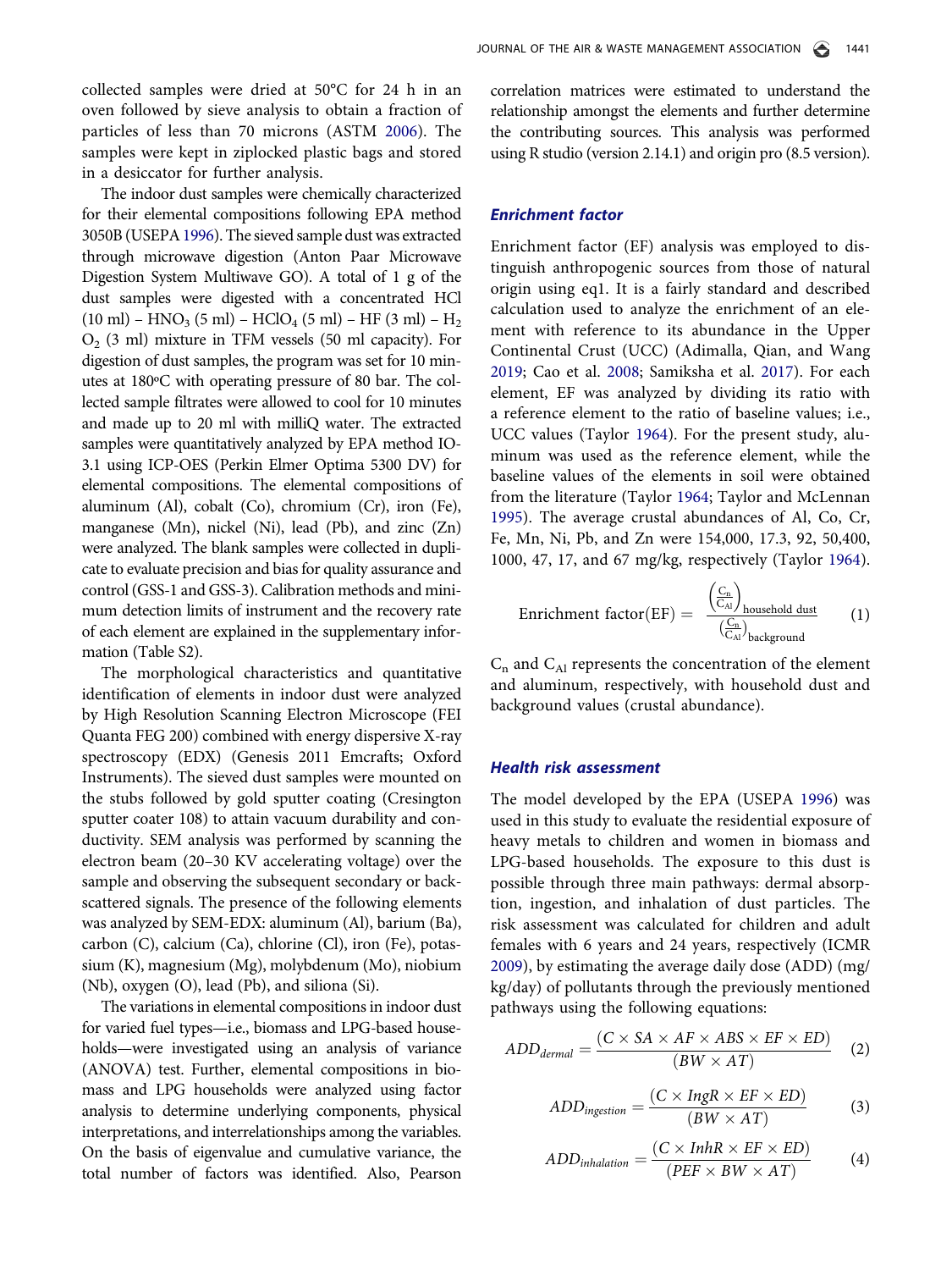collected samples were dried at 50°C for 24 h in an oven followed by sieve analysis to obtain a fraction of particles of less than 70 microns (ASTM 2006). The samples were kept in ziplocked plastic bags and stored in a desiccator for further analysis.

The indoor dust samples were chemically characterized for their elemental compositions following EPA method 3050B (USEPA1996). The sieved sample dust was extracted through microwave digestion (Anton Paar Microwave Digestion System Multiwave GO). A total of 1 g of the dust samples were digested with a concentrated HCl  $(10 \text{ ml}) - \text{HNO}_3 (5 \text{ ml}) - \text{HClO}_4 (5 \text{ ml}) - \text{HF} (3 \text{ ml}) - \text{H}_2$ O2 (3 ml) mixture in TFM vessels (50 ml capacity). For digestion of dust samples, the program was set for 10 minutes at 180ºC with operating pressure of 80 bar. The collected sample filtrates were allowed to cool for 10 minutes and made up to 20 ml with milliQ water. The extracted samples were quantitatively analyzed by EPA method IO-3.1 using ICP-OES (Perkin Elmer Optima 5300 DV) for elemental compositions. The elemental compositions of aluminum (Al), cobalt (Co), chromium (Cr), iron (Fe), manganese (Mn), nickel (Ni), lead (Pb), and zinc (Zn) were analyzed. The blank samples were collected in duplicate to evaluate precision and bias for quality assurance and control (GSS-1 and GSS-3). Calibration methods and minimum detection limits of instrument and the recovery rate of each element are explained in the supplementary information (Table S2).

The morphological characteristics and quantitative identification of elements in indoor dust were analyzed by High Resolution Scanning Electron Microscope (FEI Quanta FEG 200) combined with energy dispersive X-ray spectroscopy (EDX) (Genesis 2011 Emcrafts; Oxford Instruments). The sieved dust samples were mounted on the stubs followed by gold sputter coating (Cresington sputter coater 108) to attain vacuum durability and conductivity. SEM analysis was performed by scanning the electron beam (20–30 KV accelerating voltage) over the sample and observing the subsequent secondary or backscattered signals. The presence of the following elements was analyzed by SEM-EDX: aluminum (Al), barium (Ba), carbon (C), calcium (Ca), chlorine (Cl), iron (Fe), potassium (K), magnesium (Mg), molybdenum (Mo), niobium (Nb), oxygen (O), lead (Pb), and siliona (Si).

The variations in elemental compositions in indoor dust for varied fuel types—i.e., biomass and LPG-based households—were investigated using an analysis of variance (ANOVA) test. Further, elemental compositions in biomass and LPG households were analyzed using factor analysis to determine underlying components, physical interpretations, and interrelationships among the variables. On the basis of eigenvalue and cumulative variance, the total number of factors was identified. Also, Pearson

correlation matrices were estimated to understand the relationship amongst the elements and further determine the contributing sources. This analysis was performed using R studio (version 2.14.1) and origin pro (8.5 version).

## Enrichment factor

Enrichment factor (EF) analysis was employed to distinguish anthropogenic sources from those of natural origin using eq1. It is a fairly standard and described calculation used to analyze the enrichment of an element with reference to its abundance in the Upper Continental Crust (UCC) (Adimalla, Qian, and Wang 2019; Cao et al. 2008; Samiksha et al. 2017). For each element, EF was analyzed by dividing its ratio with a reference element to the ratio of baseline values; i.e., UCC values (Taylor 1964). For the present study, aluminum was used as the reference element, while the baseline values of the elements in soil were obtained from the literature (Taylor 1964; Taylor and McLennan 1995). The average crustal abundances of Al, Co, Cr, Fe, Mn, Ni, Pb, and Zn were 154,000, 17.3, 92, 50,400, 1000, 47, 17, and 67 mg/kg, respectively (Taylor 1964).

$$
\text{Enrichment factor}(EF) = \frac{\left(\frac{C_n}{C_{\text{Al}}}\right)_{\text{household dust}}}{\left(\frac{C_n}{C_{\text{Al}}}\right)_{\text{background}}}
$$
 (1)

 $C_n$  and  $C_{Al}$  represents the concentration of the element and aluminum, respectively, with household dust and background values (crustal abundance).

## Health risk assessment

The model developed by the EPA (USEPA 1996) was used in this study to evaluate the residential exposure of heavy metals to children and women in biomass and LPG-based households. The exposure to this dust is possible through three main pathways: dermal absorption, ingestion, and inhalation of dust particles. The risk assessment was calculated for children and adult females with 6 years and 24 years, respectively (ICMR 2009), by estimating the average daily dose (ADD) (mg/ kg/day) of pollutants through the previously mentioned pathways using the following equations:

$$
ADD_{dermal} = \frac{(C \times SA \times AF \times ABS \times EF \times ED)}{(BW \times AT)} \quad (2)
$$

$$
ADD_{ingestion} = \frac{(C \times IngR \times EF \times ED)}{(BW \times AT)} \tag{3}
$$

$$
ADDinhalation = \frac{(C \times InhR \times EF \times ED)}{(PEF \times BW \times AT)} \tag{4}
$$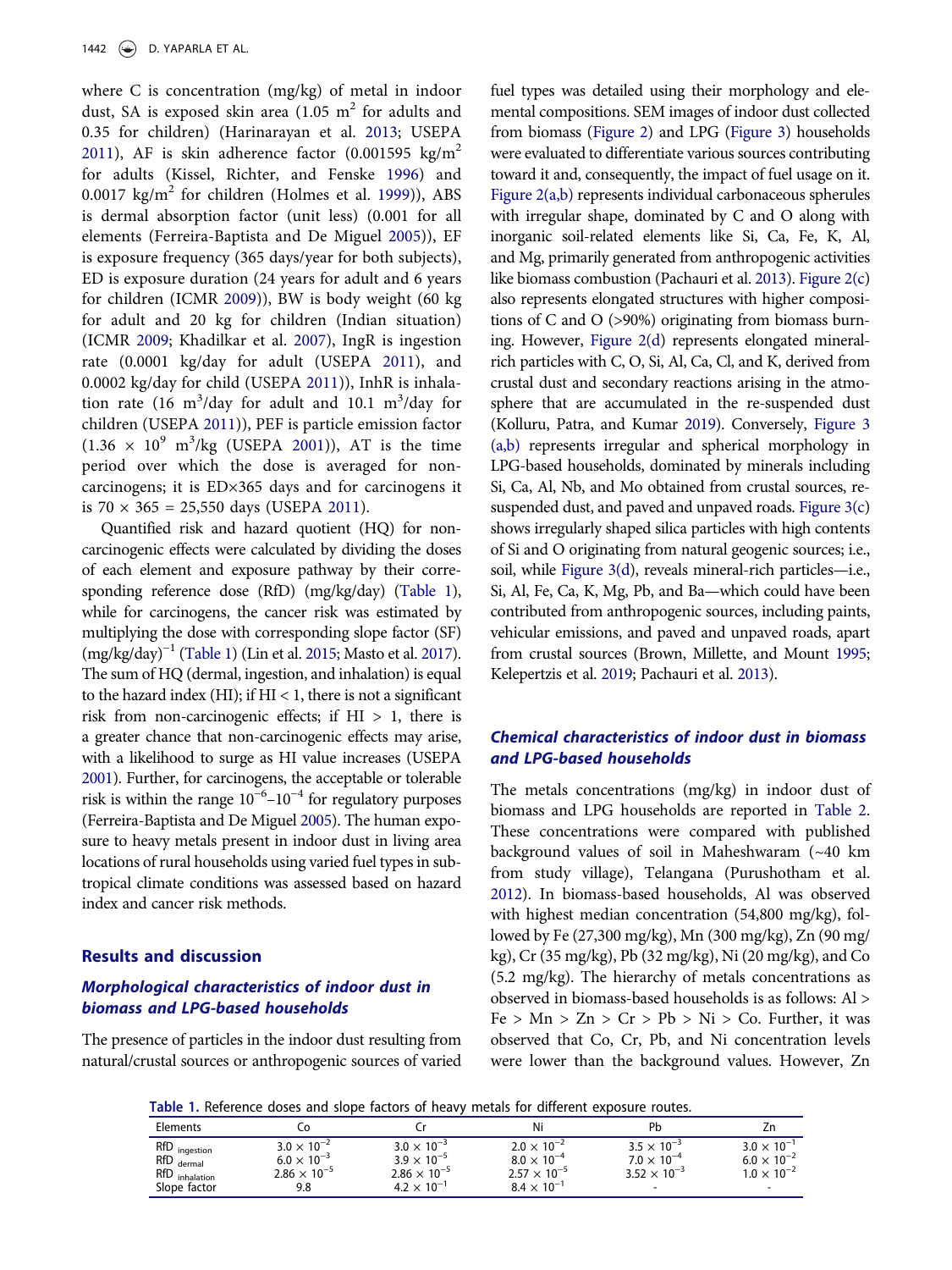where C is concentration (mg/kg) of metal in indoor dust, SA is exposed skin area  $(1.05 \text{ m}^2 \text{ for adults and})$ 0.35 for children) (Harinarayan et al. 2013; USEPA 2011), AF is skin adherence factor  $(0.001595 \text{ kg/m}^2)$ for adults (Kissel, Richter, and Fenske 1996) and 0.0017 kg/m<sup>2</sup> for children (Holmes et al. 1999)), ABS is dermal absorption factor (unit less) (0.001 for all elements (Ferreira-Baptista and De Miguel 2005)), EF is exposure frequency (365 days/year for both subjects), ED is exposure duration (24 years for adult and 6 years for children (ICMR 2009)), BW is body weight (60 kg for adult and 20 kg for children (Indian situation) (ICMR 2009; Khadilkar et al. 2007), IngR is ingestion rate (0.0001 kg/day for adult (USEPA 2011), and 0.0002 kg/day for child (USEPA 2011)), InhR is inhalation rate (16 m<sup>3</sup>/day for adult and 10.1 m<sup>3</sup>/day for children (USEPA 2011)), PEF is particle emission factor  $(1.36 \times 10^9 \text{ m}^3/\text{kg}$  (USEPA 2001)), AT is the time period over which the dose is averaged for noncarcinogens; it is ED×365 days and for carcinogens it is  $70 \times 365 = 25,550$  days (USEPA 2011).

Quantified risk and hazard quotient (HQ) for noncarcinogenic effects were calculated by dividing the doses of each element and exposure pathway by their corresponding reference dose (RfD) (mg/kg/day) (Table 1), while for carcinogens, the cancer risk was estimated by multiplying the dose with corresponding slope factor (SF) (mg/kg/day)−<sup>1</sup> (Table 1) (Lin et al. 2015; Masto et al. 2017). The sum of HQ (dermal, ingestion, and inhalation) is equal to the hazard index (HI); if  $HI < 1$ , there is not a significant risk from non-carcinogenic effects; if  $HI > 1$ , there is a greater chance that non-carcinogenic effects may arise, with a likelihood to surge as HI value increases (USEPA 2001). Further, for carcinogens, the acceptable or tolerable risk is within the range  $10^{-6}$ – $10^{-4}$  for regulatory purposes (Ferreira-Baptista and De Miguel 2005). The human exposure to heavy metals present in indoor dust in living area locations of rural households using varied fuel types in subtropical climate conditions was assessed based on hazard index and cancer risk methods.

## Results and discussion

## Morphological characteristics of indoor dust in biomass and LPG-based households

The presence of particles in the indoor dust resulting from natural/crustal sources or anthropogenic sources of varied

fuel types was detailed using their morphology and elemental compositions. SEM images of indoor dust collected from biomass (Figure 2) and LPG (Figure 3) households were evaluated to differentiate various sources contributing toward it and, consequently, the impact of fuel usage on it. Figure 2(a,b) represents individual carbonaceous spherules with irregular shape, dominated by C and O along with inorganic soil-related elements like Si, Ca, Fe, K, Al, and Mg, primarily generated from anthropogenic activities like biomass combustion (Pachauri et al. 2013). Figure 2(c) also represents elongated structures with higher compositions of C and O (>90%) originating from biomass burning. However, Figure 2(d) represents elongated mineralrich particles with C, O, Si, Al, Ca, Cl, and K, derived from crustal dust and secondary reactions arising in the atmosphere that are accumulated in the re-suspended dust (Kolluru, Patra, and Kumar 2019). Conversely, Figure 3 (a,b) represents irregular and spherical morphology in LPG-based households, dominated by minerals including Si, Ca, Al, Nb, and Mo obtained from crustal sources, resuspended dust, and paved and unpaved roads. Figure  $3(c)$ shows irregularly shaped silica particles with high contents of Si and O originating from natural geogenic sources; i.e., soil, while Figure 3(d), reveals mineral-rich particles—i.e., Si, Al, Fe, Ca, K, Mg, Pb, and Ba—which could have been contributed from anthropogenic sources, including paints, vehicular emissions, and paved and unpaved roads, apart from crustal sources (Brown, Millette, and Mount 1995; Kelepertzis et al. 2019; Pachauri et al. 2013).

## Chemical characteristics of indoor dust in biomass and LPG-based households

The metals concentrations (mg/kg) in indoor dust of biomass and LPG households are reported in Table 2. These concentrations were compared with published background values of soil in Maheshwaram (~40 km from study village), Telangana (Purushotham et al. 2012). In biomass-based households, Al was observed with highest median concentration (54,800 mg/kg), followed by Fe (27,300 mg/kg), Mn (300 mg/kg), Zn (90 mg/ kg), Cr (35 mg/kg), Pb (32 mg/kg), Ni (20 mg/kg), and Co (5.2 mg/kg). The hierarchy of metals concentrations as observed in biomass-based households is as follows: Al >  $Fe > Mn > Zn > Cr > Pb > Ni > Co.$  Further, it was observed that Co, Cr, Pb, and Ni concentration levels were lower than the background values. However, Zn

Table 1. Reference doses and slope factors of heavy metals for different exposure routes.

| Elements                                                        |                                                                                 |                                                                                               | Ni                                                                                            | Pb                                                                                                |                                                                      |
|-----------------------------------------------------------------|---------------------------------------------------------------------------------|-----------------------------------------------------------------------------------------------|-----------------------------------------------------------------------------------------------|---------------------------------------------------------------------------------------------------|----------------------------------------------------------------------|
| RfD ingestion<br>$RfD$ dermal<br>RfD inhalation<br>Slope factor | $3.0 \times 10^{-2}$<br>6.0 $\times$ 10 $^{-3}$<br>$2.86 \times 10^{-5}$<br>9.8 | $3.0 \times 10^{-3}$<br>$3.9 \times 10^{-5}$<br>$2.86 \times 10^{-5}$<br>$4.2 \times 10^{-1}$ | $2.0 \times 10^{-2}$<br>$8.0 \times 10^{-4}$<br>$2.57 \times 10^{-5}$<br>$8.4 \times 10^{-1}$ | $3.5 \times 10^{-3}$<br>$7.0 \times 10^{-4}$<br>$3.52 \times 10^{-3}$<br>$\overline{\phantom{a}}$ | $3.0 \times 10^{-7}$<br>$6.0 \times 10^{-2}$<br>$1.0 \times 10^{-2}$ |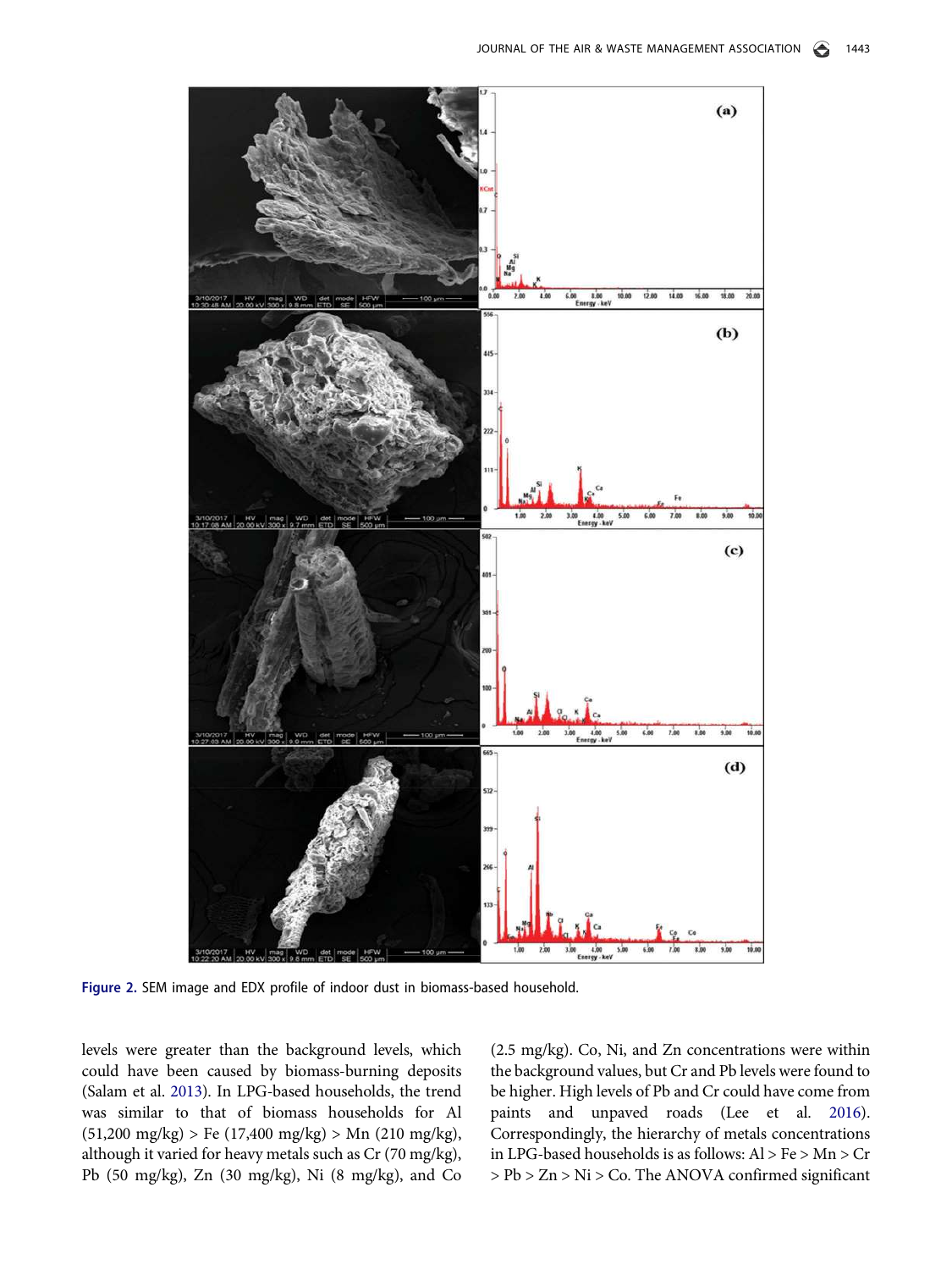

Figure 2. SEM image and EDX profile of indoor dust in biomass-based household.

levels were greater than the background levels, which could have been caused by biomass-burning deposits (Salam et al. 2013). In LPG-based households, the trend was similar to that of biomass households for Al  $(51,200 \text{ mg/kg})$  > Fe  $(17,400 \text{ mg/kg})$  > Mn  $(210 \text{ mg/kg})$ , although it varied for heavy metals such as Cr (70 mg/kg), Pb (50 mg/kg), Zn (30 mg/kg), Ni (8 mg/kg), and Co (2.5 mg/kg). Co, Ni, and Zn concentrations were within the background values, but Cr and Pb levels were found to be higher. High levels of Pb and Cr could have come from paints and unpaved roads (Lee et al. 2016). Correspondingly, the hierarchy of metals concentrations in LPG-based households is as follows: Al > Fe > Mn > Cr > Pb > Zn > Ni > Co. The ANOVA confirmed significant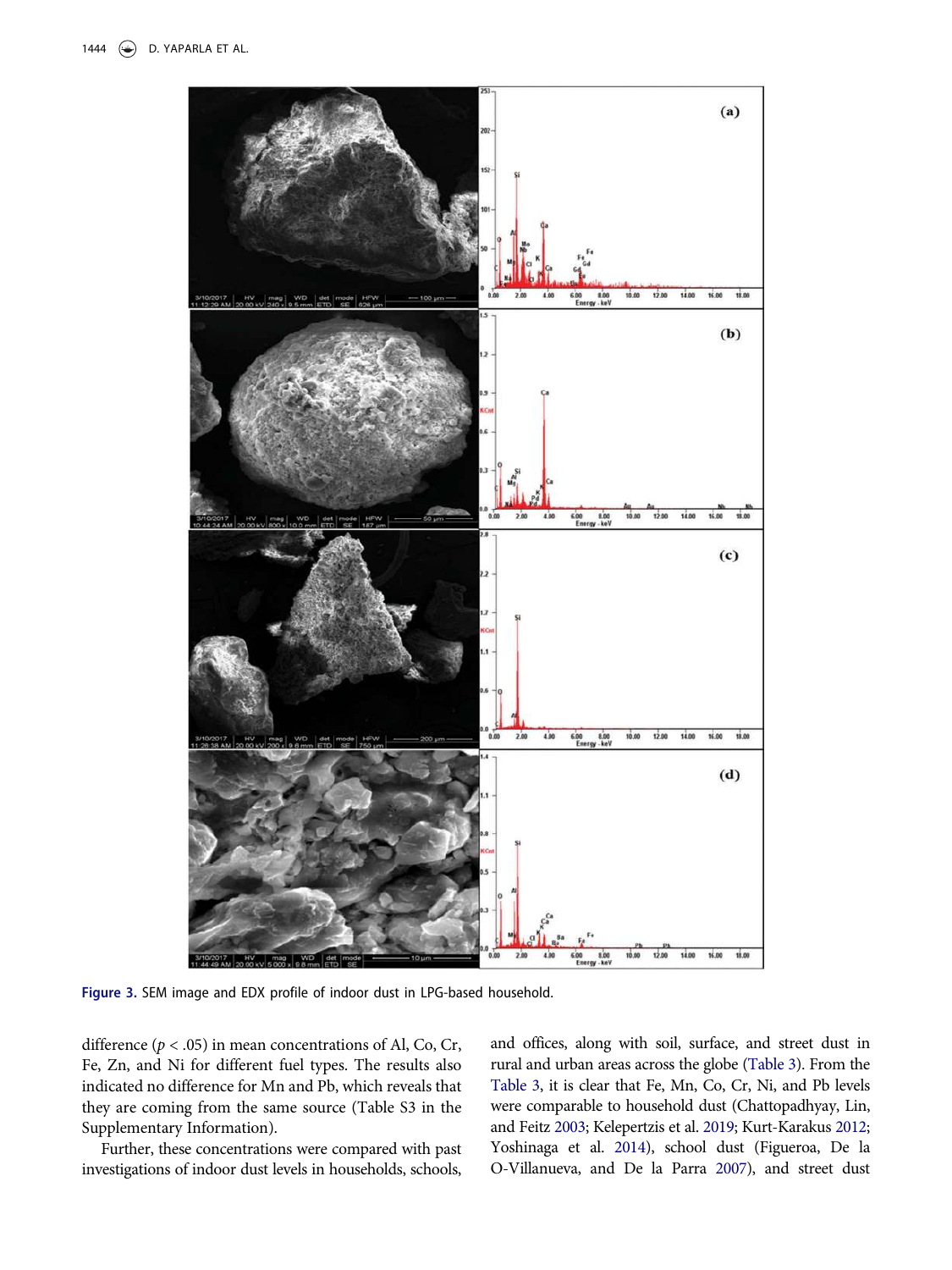

Figure 3. SEM image and EDX profile of indoor dust in LPG-based household.

difference ( $p < .05$ ) in mean concentrations of Al, Co, Cr, Fe, Zn, and Ni for different fuel types. The results also indicated no difference for Mn and Pb, which reveals that they are coming from the same source (Table S3 in the Supplementary Information).

Further, these concentrations were compared with past investigations of indoor dust levels in households, schools,

and offices, along with soil, surface, and street dust in rural and urban areas across the globe (Table 3). From the Table 3, it is clear that Fe, Mn, Co, Cr, Ni, and Pb levels were comparable to household dust (Chattopadhyay, Lin, and Feitz 2003; Kelepertzis et al. 2019; Kurt-Karakus 2012; Yoshinaga et al. 2014), school dust (Figueroa, De la O-Villanueva, and De la Parra 2007), and street dust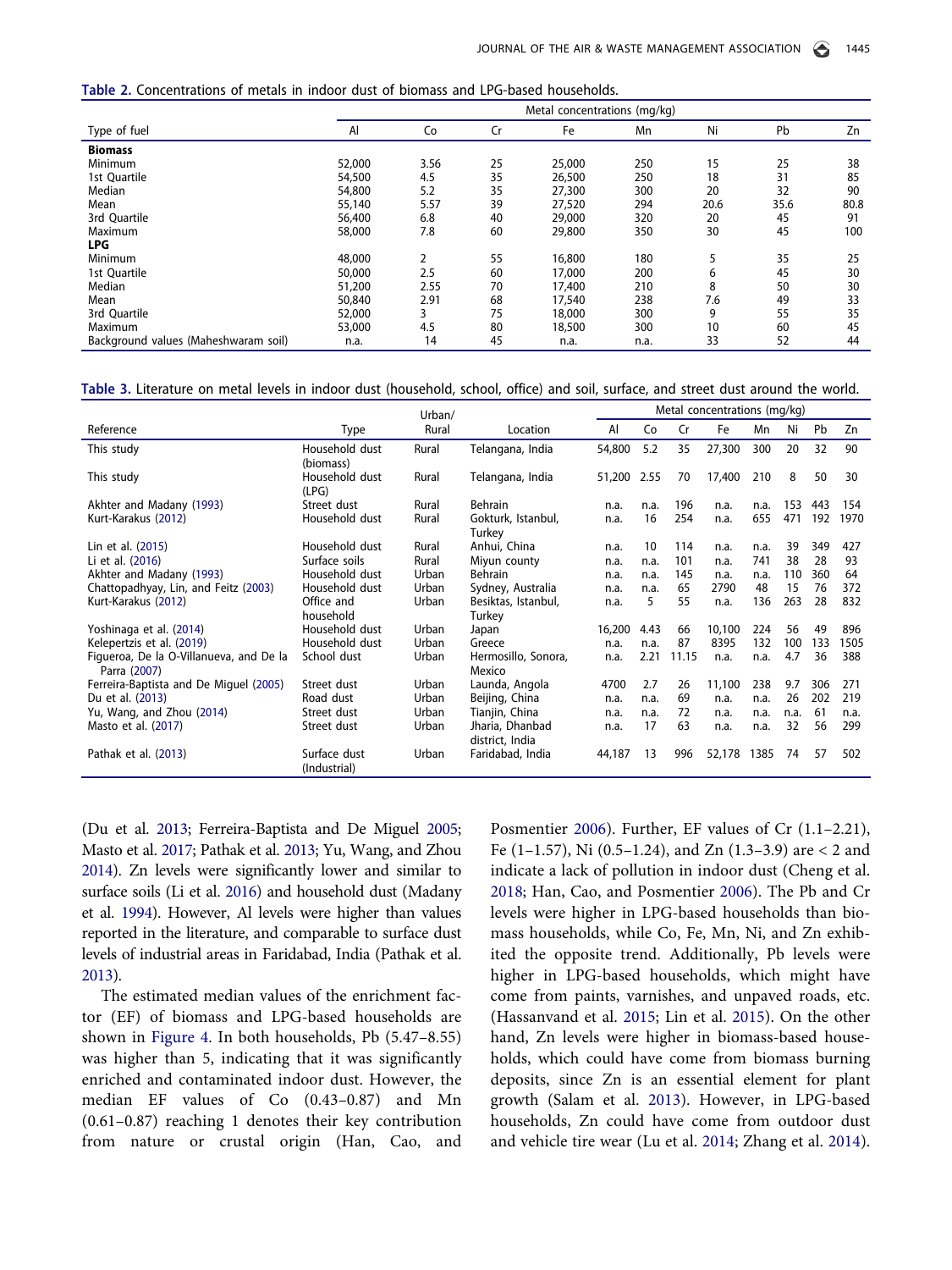| Table 2. Concentrations of metals in indoor dust of biomass and LPG-based households. |  |
|---------------------------------------------------------------------------------------|--|
|---------------------------------------------------------------------------------------|--|

|                                      | Metal concentrations (mg/kg) |      |    |        |      |      |      |      |
|--------------------------------------|------------------------------|------|----|--------|------|------|------|------|
| Type of fuel                         | Al                           | Co   | Cr | Fe     | Mn   | Ni   | Pb   | Zn   |
| <b>Biomass</b>                       |                              |      |    |        |      |      |      |      |
| Minimum                              | 52,000                       | 3.56 | 25 | 25,000 | 250  | 15   | 25   | 38   |
| 1st Quartile                         | 54,500                       | 4.5  | 35 | 26,500 | 250  | 18   | 31   | 85   |
| Median                               | 54,800                       | 5.2  | 35 | 27,300 | 300  | 20   | 32   | 90   |
| Mean                                 | 55,140                       | 5.57 | 39 | 27,520 | 294  | 20.6 | 35.6 | 80.8 |
| 3rd Quartile                         | 56,400                       | 6.8  | 40 | 29,000 | 320  | 20   | 45   | 91   |
| Maximum                              | 58,000                       | 7.8  | 60 | 29,800 | 350  | 30   | 45   | 100  |
| <b>LPG</b>                           |                              |      |    |        |      |      |      |      |
| Minimum                              | 48,000                       | 2    | 55 | 16,800 | 180  |      | 35   | 25   |
| 1st Quartile                         | 50,000                       | 2.5  | 60 | 17,000 | 200  | 6    | 45   | 30   |
| Median                               | 51,200                       | 2.55 | 70 | 17,400 | 210  | 8    | 50   | 30   |
| Mean                                 | 50,840                       | 2.91 | 68 | 17,540 | 238  | 7.6  | 49   | 33   |
| 3rd Quartile                         | 52,000                       | 3    | 75 | 18,000 | 300  | 9    | 55   | 35   |
| Maximum                              | 53,000                       | 4.5  | 80 | 18,500 | 300  | 10   | 60   | 45   |
| Background values (Maheshwaram soil) | n.a.                         | 14   | 45 | n.a.   | n.a. | 33   | 52   | 44   |

#### Table 3. Literature on metal levels in indoor dust (household, school, office) and soil, surface, and street dust around the world.

|                                                         | Urban/                       |       |                                    |        | Metal concentrations (mg/kg) |       |        |      |      |     |      |
|---------------------------------------------------------|------------------------------|-------|------------------------------------|--------|------------------------------|-------|--------|------|------|-----|------|
| Reference                                               | Type                         | Rural | Location                           | Al     | Co                           | Cr    | Fe     | Mn   | Ni   | Pb  | Zn   |
| This study                                              | Household dust<br>(biomass)  | Rural | Telangana, India                   | 54,800 | 5.2                          | 35    | 27,300 | 300  | 20   | 32  | 90   |
| This study                                              | Household dust<br>(LPG)      | Rural | Telangana, India                   | 51,200 | 2.55                         | 70    | 17,400 | 210  | 8    | 50  | 30   |
| Akhter and Madany (1993)                                | Street dust                  | Rural | <b>Behrain</b>                     | n.a.   | n.a.                         | 196   | n.a.   | n.a. | 153  | 443 | 154  |
| Kurt-Karakus (2012)                                     | Household dust               | Rural | Gokturk, Istanbul,<br>Turkey       | n.a.   | 16                           | 254   | n.a.   | 655  | 471  | 192 | 1970 |
| Lin et al. (2015)                                       | Household dust               | Rural | Anhui, China                       | n.a.   | 10                           | 114   | n.a.   | n.a. | 39   | 349 | 427  |
| Li et al. (2016)                                        | Surface soils                | Rural | Miyun county                       | n.a.   | n.a.                         | 101   | n.a.   | 741  | 38   | 28  | 93   |
| Akhter and Madany (1993)                                | Household dust               | Urban | Behrain                            | n.a.   | n.a.                         | 145   | n.a.   | n.a. | 110  | 360 | 64   |
| Chattopadhyay, Lin, and Feitz (2003)                    | Household dust               | Urban | Sydney, Australia                  | n.a.   | n.a.                         | 65    | 2790   | 48   | 15   | 76  | 372  |
| Kurt-Karakus (2012)                                     | Office and<br>household      | Urban | Besiktas, Istanbul,<br>Turkey      | n.a.   | 5                            | 55    | n.a.   | 136  | 263  | 28  | 832  |
| Yoshinaga et al. (2014)                                 | Household dust               | Urban | Japan                              | 16,200 | 4.43                         | 66    | 10,100 | 224  | 56   | 49  | 896  |
| Kelepertzis et al. (2019)                               | Household dust               | Urban | Greece                             | n.a.   | n.a.                         | 87    | 8395   | 132  | 100  | 133 | 1505 |
| Figueroa, De la O-Villanueva, and De la<br>Parra (2007) | School dust                  | Urban | Hermosillo, Sonora,<br>Mexico      | n.a.   | 2.21                         | 11.15 | n.a.   | n.a. | 4.7  | 36  | 388  |
| Ferreira-Baptista and De Miguel (2005)                  | Street dust                  | Urban | Launda, Angola                     | 4700   | 2.7                          | 26    | 11,100 | 238  | 9.7  | 306 | 271  |
| Du et al. (2013)                                        | Road dust                    | Urban | Beijing, China                     | n.a.   | n.a.                         | 69    | n.a.   | n.a. | 26   | 202 | 219  |
| Yu, Wang, and Zhou (2014)                               | Street dust                  | Urban | Tianjin, China                     | n.a.   | n.a.                         | 72    | n.a.   | n.a. | n.a. | 61  | n.a. |
| Masto et al. (2017)                                     | Street dust                  | Urban | Jharia, Dhanbad<br>district, India | n.a.   | 17                           | 63    | n.a.   | n.a. | 32   | 56  | 299  |
| Pathak et al. (2013)                                    | Surface dust<br>(Industrial) | Urban | Faridabad, India                   | 44,187 | 13                           | 996   | 52,178 | 1385 | 74   | 57  | 502  |

(Du et al. 2013; Ferreira-Baptista and De Miguel 2005; Masto et al. 2017; Pathak et al. 2013; Yu, Wang, and Zhou 2014). Zn levels were significantly lower and similar to surface soils (Li et al. 2016) and household dust (Madany et al. 1994). However, Al levels were higher than values reported in the literature, and comparable to surface dust levels of industrial areas in Faridabad, India (Pathak et al. 2013).

The estimated median values of the enrichment factor (EF) of biomass and LPG-based households are shown in Figure 4. In both households, Pb (5.47–8.55) was higher than 5, indicating that it was significantly enriched and contaminated indoor dust. However, the median EF values of Co (0.43–0.87) and Mn (0.61–0.87) reaching 1 denotes their key contribution from nature or crustal origin (Han, Cao, and

Posmentier 2006). Further, EF values of Cr (1.1–2.21), Fe (1–1.57), Ni (0.5–1.24), and Zn (1.3–3.9) are  $<$  2 and indicate a lack of pollution in indoor dust (Cheng et al. 2018; Han, Cao, and Posmentier 2006). The Pb and Cr levels were higher in LPG-based households than biomass households, while Co, Fe, Mn, Ni, and Zn exhibited the opposite trend. Additionally, Pb levels were higher in LPG-based households, which might have come from paints, varnishes, and unpaved roads, etc. (Hassanvand et al. 2015; Lin et al. 2015). On the other hand, Zn levels were higher in biomass-based households, which could have come from biomass burning deposits, since Zn is an essential element for plant growth (Salam et al. 2013). However, in LPG-based households, Zn could have come from outdoor dust and vehicle tire wear (Lu et al. 2014; Zhang et al. 2014).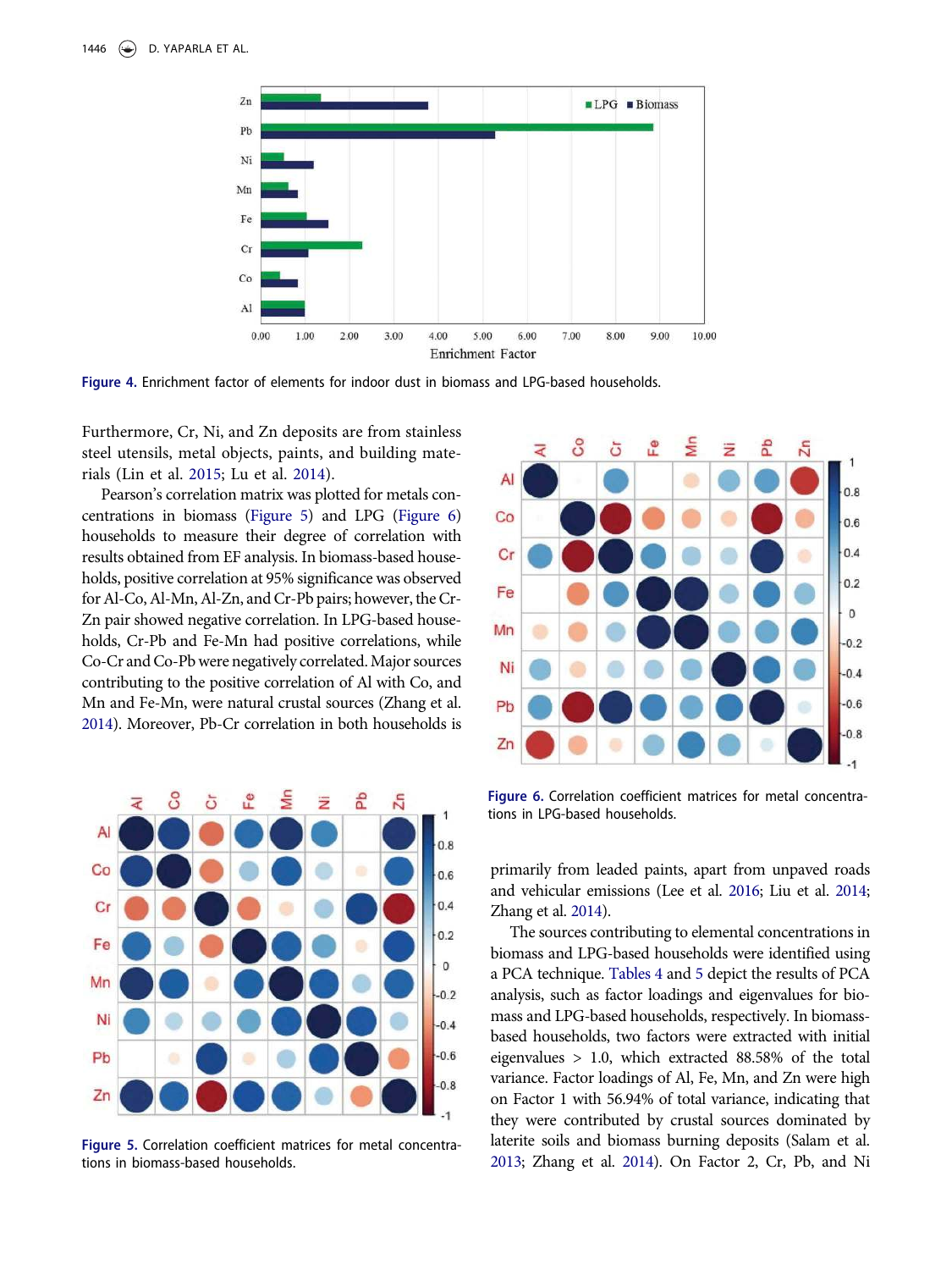

Figure 4. Enrichment factor of elements for indoor dust in biomass and LPG-based households.

Furthermore, Cr, Ni, and Zn deposits are from stainless steel utensils, metal objects, paints, and building materials (Lin et al. 2015; Lu et al. 2014).

Pearson's correlation matrix was plotted for metals concentrations in biomass (Figure 5) and LPG (Figure 6) households to measure their degree of correlation with results obtained from EF analysis. In biomass-based households, positive correlation at 95% significance was observed for Al-Co, Al-Mn, Al-Zn, and Cr-Pb pairs; however, the Cr-Zn pair showed negative correlation. In LPG-based households, Cr-Pb and Fe-Mn had positive correlations, while Co-Cr and Co-Pb were negatively correlated.Major sources contributing to the positive correlation of Al with Co, and Mn and Fe-Mn, were natural crustal sources (Zhang et al. 2014). Moreover, Pb-Cr correlation in both households is



Figure 5. Correlation coefficient matrices for metal concentrations in biomass-based households.



Figure 6. Correlation coefficient matrices for metal concentrations in LPG-based households.

primarily from leaded paints, apart from unpaved roads and vehicular emissions (Lee et al. 2016; Liu et al. 2014; Zhang et al. 2014).

The sources contributing to elemental concentrations in biomass and LPG-based households were identified using a PCA technique. Tables 4 and 5 depict the results of PCA analysis, such as factor loadings and eigenvalues for biomass and LPG-based households, respectively. In biomassbased households, two factors were extracted with initial eigenvalues > 1.0, which extracted 88.58% of the total variance. Factor loadings of Al, Fe, Mn, and Zn were high on Factor 1 with 56.94% of total variance, indicating that they were contributed by crustal sources dominated by laterite soils and biomass burning deposits (Salam et al. 2013; Zhang et al. 2014). On Factor 2, Cr, Pb, and Ni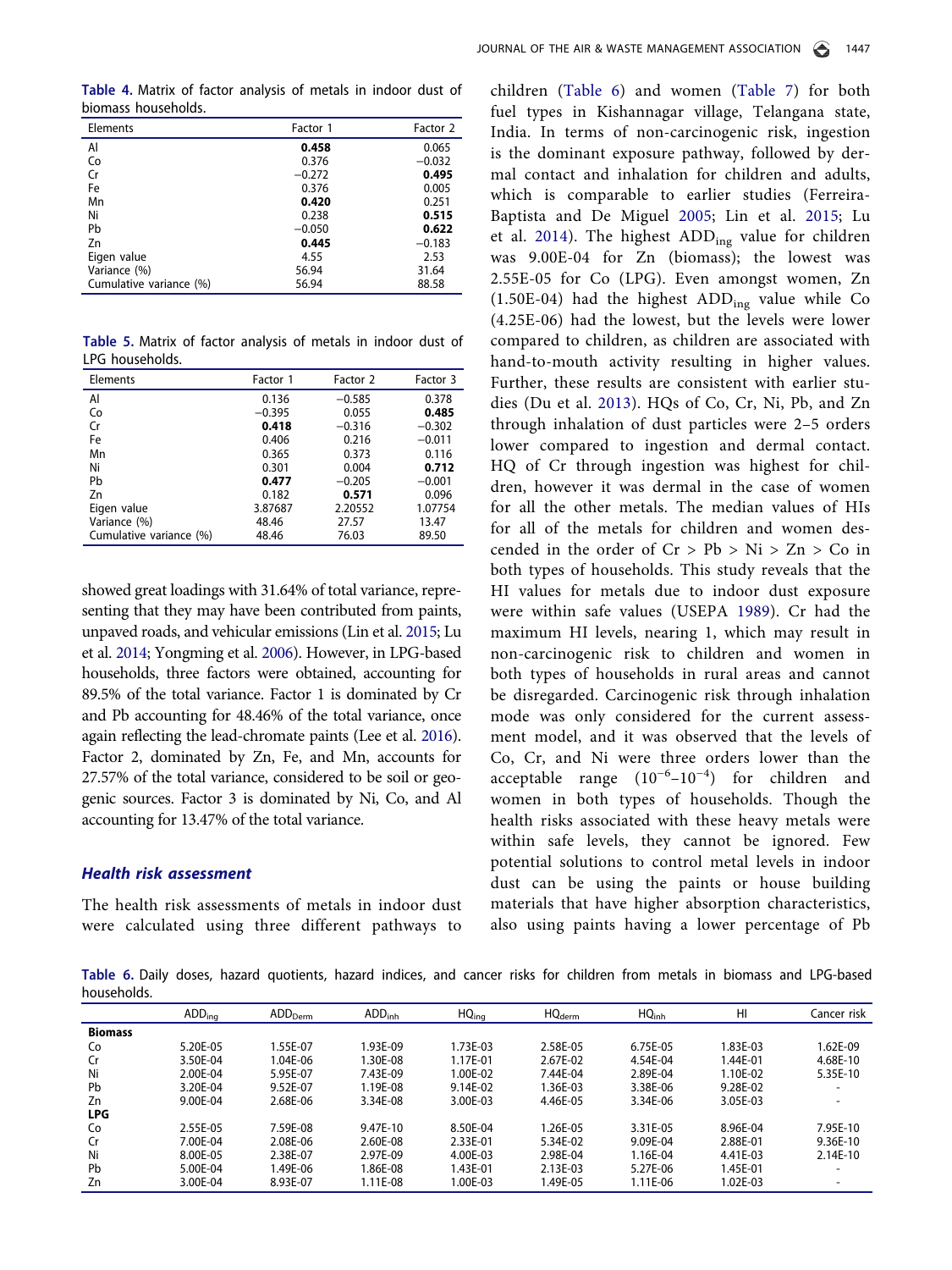Table 4. Matrix of factor analysis of metals in indoor dust of biomass households.

| Elements                | Factor 1 | Factor 2 |
|-------------------------|----------|----------|
| Al                      | 0.458    | 0.065    |
| Co                      | 0.376    | $-0.032$ |
| Cr                      | $-0.272$ | 0.495    |
| Fe                      | 0.376    | 0.005    |
| Mn                      | 0.420    | 0.251    |
| Ni                      | 0.238    | 0.515    |
| Pb                      | $-0.050$ | 0.622    |
| Zn                      | 0.445    | $-0.183$ |
| Eigen value             | 4.55     | 2.53     |
| Variance (%)            | 56.94    | 31.64    |
| Cumulative variance (%) | 56.94    | 88.58    |

Table 5. Matrix of factor analysis of metals in indoor dust of LPG households.

| Elements                | Factor 1 | Factor 2 | Factor 3 |
|-------------------------|----------|----------|----------|
| Al                      | 0.136    | $-0.585$ | 0.378    |
| Co                      | $-0.395$ | 0.055    | 0.485    |
| Cr                      | 0.418    | $-0.316$ | $-0.302$ |
| Fe                      | 0.406    | 0.216    | $-0.011$ |
| Mn                      | 0.365    | 0.373    | 0.116    |
| Ni                      | 0.301    | 0.004    | 0.712    |
| Pb                      | 0.477    | $-0.205$ | $-0.001$ |
| Zn                      | 0.182    | 0.571    | 0.096    |
| Eigen value             | 3.87687  | 2.20552  | 1.07754  |
| Variance (%)            | 48.46    | 27.57    | 13.47    |
| Cumulative variance (%) | 48.46    | 76.03    | 89.50    |

showed great loadings with 31.64% of total variance, representing that they may have been contributed from paints, unpaved roads, and vehicular emissions (Lin et al. 2015; Lu et al. 2014; Yongming et al. 2006). However, in LPG-based households, three factors were obtained, accounting for 89.5% of the total variance. Factor 1 is dominated by Cr and Pb accounting for 48.46% of the total variance, once again reflecting the lead-chromate paints (Lee et al. 2016). Factor 2, dominated by Zn, Fe, and Mn, accounts for 27.57% of the total variance, considered to be soil or geogenic sources. Factor 3 is dominated by Ni, Co, and Al accounting for 13.47% of the total variance.

## Health risk assessment

The health risk assessments of metals in indoor dust were calculated using three different pathways to

children (Table 6) and women (Table 7) for both fuel types in Kishannagar village, Telangana state, India. In terms of non-carcinogenic risk, ingestion is the dominant exposure pathway, followed by dermal contact and inhalation for children and adults, which is comparable to earlier studies (Ferreira-Baptista and De Miguel 2005; Lin et al. 2015; Lu et al. 2014). The highest  $ADD_{ing}$  value for children was 9.00E-04 for Zn (biomass); the lowest was 2.55E-05 for Co (LPG). Even amongst women, Zn  $(1.50E-04)$  had the highest  $ADD_{ing}$  value while Co (4.25E-06) had the lowest, but the levels were lower compared to children, as children are associated with hand-to-mouth activity resulting in higher values. Further, these results are consistent with earlier studies (Du et al. 2013). HQs of Co, Cr, Ni, Pb, and Zn through inhalation of dust particles were 2–5 orders lower compared to ingestion and dermal contact. HQ of Cr through ingestion was highest for children, however it was dermal in the case of women for all the other metals. The median values of HIs for all of the metals for children and women descended in the order of  $Cr > Pb > Ni > Zn > Co$  in both types of households. This study reveals that the HI values for metals due to indoor dust exposure were within safe values (USEPA 1989). Cr had the maximum HI levels, nearing 1, which may result in non-carcinogenic risk to children and women in both types of households in rural areas and cannot be disregarded. Carcinogenic risk through inhalation mode was only considered for the current assessment model, and it was observed that the levels of Co, Cr, and Ni were three orders lower than the acceptable range  $(10^{-6}-10^{-4})$  for children and women in both types of households. Though the health risks associated with these heavy metals were within safe levels, they cannot be ignored. Few potential solutions to control metal levels in indoor dust can be using the paints or house building materials that have higher absorption characteristics, also using paints having a lower percentage of Pb

Table 6. Daily doses, hazard quotients, hazard indices, and cancer risks for children from metals in biomass and LPG-based households.

|                | ADD <sub>ing</sub> | ADD <sub>Derm</sub> | ADD <sub>inh</sub> | HQ <sub>ina</sub> | HQ <sub>derm</sub> | HQ <sub>inh</sub> | HI           | Cancer risk  |
|----------------|--------------------|---------------------|--------------------|-------------------|--------------------|-------------------|--------------|--------------|
| <b>Biomass</b> |                    |                     |                    |                   |                    |                   |              |              |
| Co             | 5.20E-05           | 1.55F-07            | 1.93F-09           | 1.73F-03          | 2.58F-05           | 6.75E-05          | 1.83E-03     | $1.62F-09$   |
| Cr             | 3.50F-04           | 1.04E-06            | .30E-08            | 1.17E-01          | 2.67F-02           | 4.54E-04          | 1.44E-01     | 4.68E-10     |
| Ni             | $2.00F - 04$       | 5.95F-07            | 7.43F-09           | 1.00F-02          | 7.44F-04           | 2.89E-04          | $1.10F - 02$ | 5.35E-10     |
| Pb             | 3.20E-04           | 9.52F-07            | 1.19E-08           | 9.14E-02          | 1.36E-03           | 3.38E-06          | 9.28E-02     |              |
| Zn             | 9.00E-04           | 2.68E-06            | 3.34E-08           | 3.00E-03          | 4.46E-05           | 3.34E-06          | 3.05E-03     | -            |
| <b>LPG</b>     |                    |                     |                    |                   |                    |                   |              |              |
| Co             | 2.55E-05           | 7.59F-08            | 9.47E-10           | 8.50E-04          | 1.26E-05           | 3.31E-05          | 8.96E-04     | 7.95E-10     |
| Cr             | 7.00E-04           | 2.08F-06            | 2.60E-08           | 2.33F-01          | 5.34E-02           | 9.09F-04          | 2.88E-01     | 9.36E-10     |
| Ni             | 8.00F-05           | 2.38F-07            | 2.97F-09           | 4.00F-03          | 2.98F-04           | 1.16F-04          | 4.41F-03     | $2.14F - 10$ |
| Pb             | 5.00E-04           | 1.49F-06            | 1.86E-08           | 1.43E-01          | 2.13E-03           | 5.27E-06          | 1.45E-01     |              |
| Zn             | 3.00E-04           | 8.93E-07            | 1.11E-08           | 1.00E-03          | 1.49E-05           | 1.11E-06          | 1.02E-03     |              |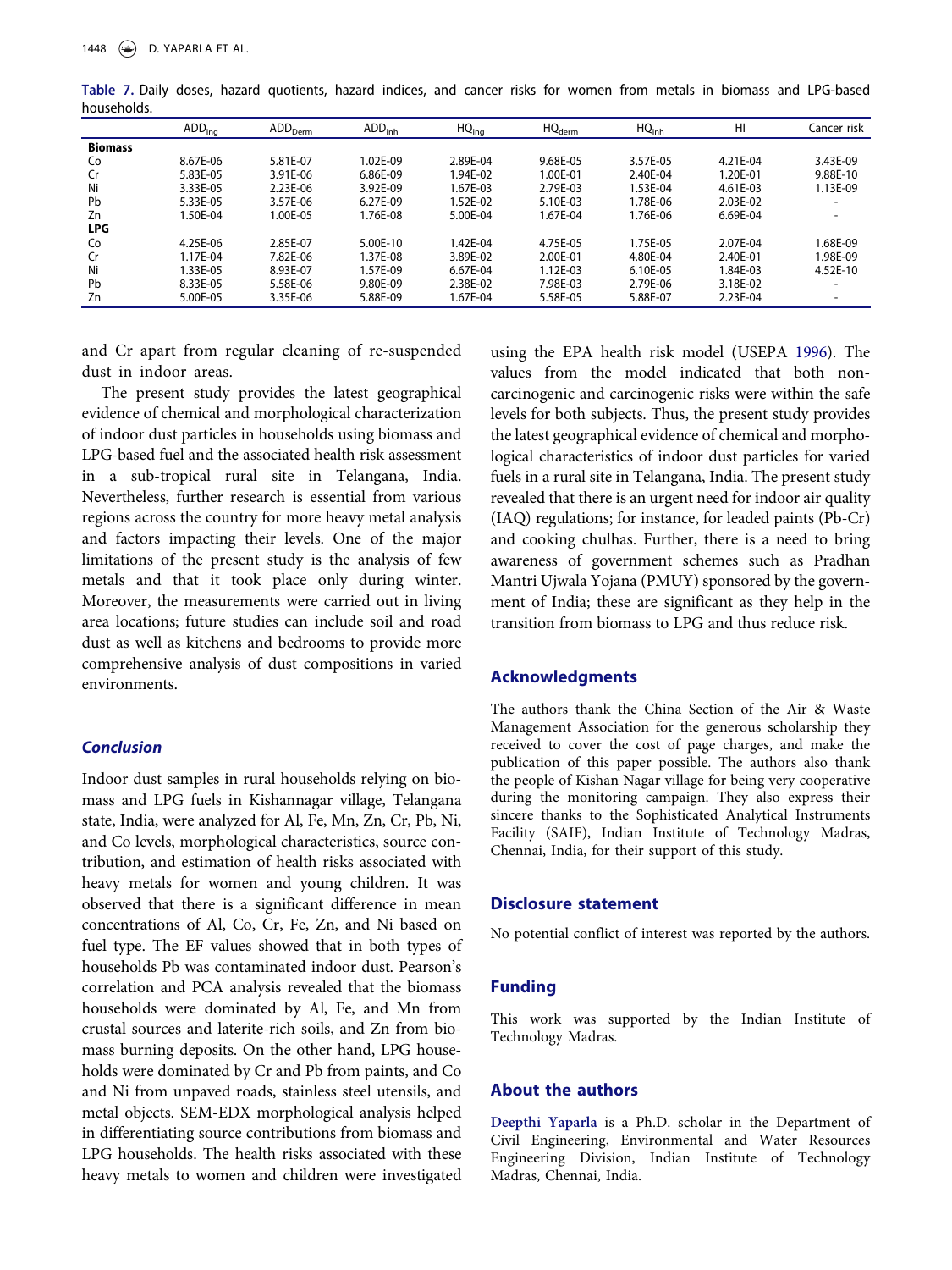|                | ADD <sub>ina</sub> | ADD <sub>Derm</sub> | ADD <sub>inh</sub> | HQ <sub>ina</sub> | HQ <sub>derm</sub> | HQ <sub>inh</sub> | H <sub>l</sub> | Cancer risk              |
|----------------|--------------------|---------------------|--------------------|-------------------|--------------------|-------------------|----------------|--------------------------|
| <b>Biomass</b> |                    |                     |                    |                   |                    |                   |                |                          |
| Co             | 8.67F-06           | 5.81E-07            | 1.02F-09           | 2.89F-04          | 9.68F-05           | 3.57E-05          | 4.21F-04       | 3.43E-09                 |
| Cr             | 5.83E-05           | 3.91E-06            | 6.86E-09           | 1.94F-02          | 1.00F-01           | $2.40F - 04$      | 1.20E-01       | 9.88E-10                 |
| Ni             | 3.33E-05           | 2.23E-06            | 3.92E-09           | 1.67F-03          | 2.79F-03           | 1.53F-04          | 4.61E-03       | 1.13E-09                 |
| Pb             | 5.33E-05           | 3.57E-06            | 6.27E-09           | 1.52E-02          | 5.10E-03           | 1.78E-06          | 2.03E-02       |                          |
| Zn             | I.50E-04           | 1.00E-05            | 1.76E-08           | 5.00E-04          | 1.67E-04           | 1.76E-06          | 6.69E-04       | $\overline{\phantom{a}}$ |
| <b>LPG</b>     |                    |                     |                    |                   |                    |                   |                |                          |
| Co             | 4.25F-06           | 2.85F-07            | $5.00F - 10$       | $1.42F - 04$      | 4.75F-05           | 1.75F-05          | 2.07F-04       | 1.68E-09                 |
| Cr             | 1.17F-04           | 7.82F-06            | 1.37F-08           | 3.89E-02          | 2.00F-01           | 4.80E-04          | 2.40E-01       | 1.98F-09                 |
| Ni             | I.33E-05           | 8.93E-07            | 1.57E-09           | 6.67E-04          | 1.12E-03           | 6.10E-05          | 1.84E-03       | 4.52E-10                 |
| Pb             | 8.33E-05           | 5.58E-06            | 9.80E-09           | 2.38E-02          | 7.98E-03           | 2.79E-06          | 3.18E-02       |                          |
| Zn             | 5.00E-05           | 3.35E-06            | 5.88E-09           | 1.67E-04          | 5.58E-05           | 5.88E-07          | 2.23E-04       | $\overline{\phantom{0}}$ |

Table 7. Daily doses, hazard quotients, hazard indices, and cancer risks for women from metals in biomass and LPG-based households.

and Cr apart from regular cleaning of re-suspended dust in indoor areas.

The present study provides the latest geographical evidence of chemical and morphological characterization of indoor dust particles in households using biomass and LPG-based fuel and the associated health risk assessment in a sub-tropical rural site in Telangana, India. Nevertheless, further research is essential from various regions across the country for more heavy metal analysis and factors impacting their levels. One of the major limitations of the present study is the analysis of few metals and that it took place only during winter. Moreover, the measurements were carried out in living area locations; future studies can include soil and road dust as well as kitchens and bedrooms to provide more comprehensive analysis of dust compositions in varied environments.

## Conclusion

Indoor dust samples in rural households relying on biomass and LPG fuels in Kishannagar village, Telangana state, India, were analyzed for Al, Fe, Mn, Zn, Cr, Pb, Ni, and Co levels, morphological characteristics, source contribution, and estimation of health risks associated with heavy metals for women and young children. It was observed that there is a significant difference in mean concentrations of Al, Co, Cr, Fe, Zn, and Ni based on fuel type. The EF values showed that in both types of households Pb was contaminated indoor dust. Pearson's correlation and PCA analysis revealed that the biomass households were dominated by Al, Fe, and Mn from crustal sources and laterite-rich soils, and Zn from biomass burning deposits. On the other hand, LPG households were dominated by Cr and Pb from paints, and Co and Ni from unpaved roads, stainless steel utensils, and metal objects. SEM-EDX morphological analysis helped in differentiating source contributions from biomass and LPG households. The health risks associated with these heavy metals to women and children were investigated

using the EPA health risk model (USEPA 1996). The values from the model indicated that both noncarcinogenic and carcinogenic risks were within the safe levels for both subjects. Thus, the present study provides the latest geographical evidence of chemical and morphological characteristics of indoor dust particles for varied fuels in a rural site in Telangana, India. The present study revealed that there is an urgent need for indoor air quality (IAQ) regulations; for instance, for leaded paints (Pb-Cr) and cooking chulhas. Further, there is a need to bring awareness of government schemes such as Pradhan Mantri Ujwala Yojana (PMUY) sponsored by the government of India; these are significant as they help in the transition from biomass to LPG and thus reduce risk.

## Acknowledgments

The authors thank the China Section of the Air & Waste Management Association for the generous scholarship they received to cover the cost of page charges, and make the publication of this paper possible. The authors also thank the people of Kishan Nagar village for being very cooperative during the monitoring campaign. They also express their sincere thanks to the Sophisticated Analytical Instruments Facility (SAIF), Indian Institute of Technology Madras, Chennai, India, for their support of this study.

## Disclosure statement

No potential conflict of interest was reported by the authors.

## Funding

This work was supported by the Indian Institute of Technology Madras.

## About the authors

Deepthi Yaparla is a Ph.D. scholar in the Department of Civil Engineering, Environmental and Water Resources Engineering Division, Indian Institute of Technology Madras, Chennai, India.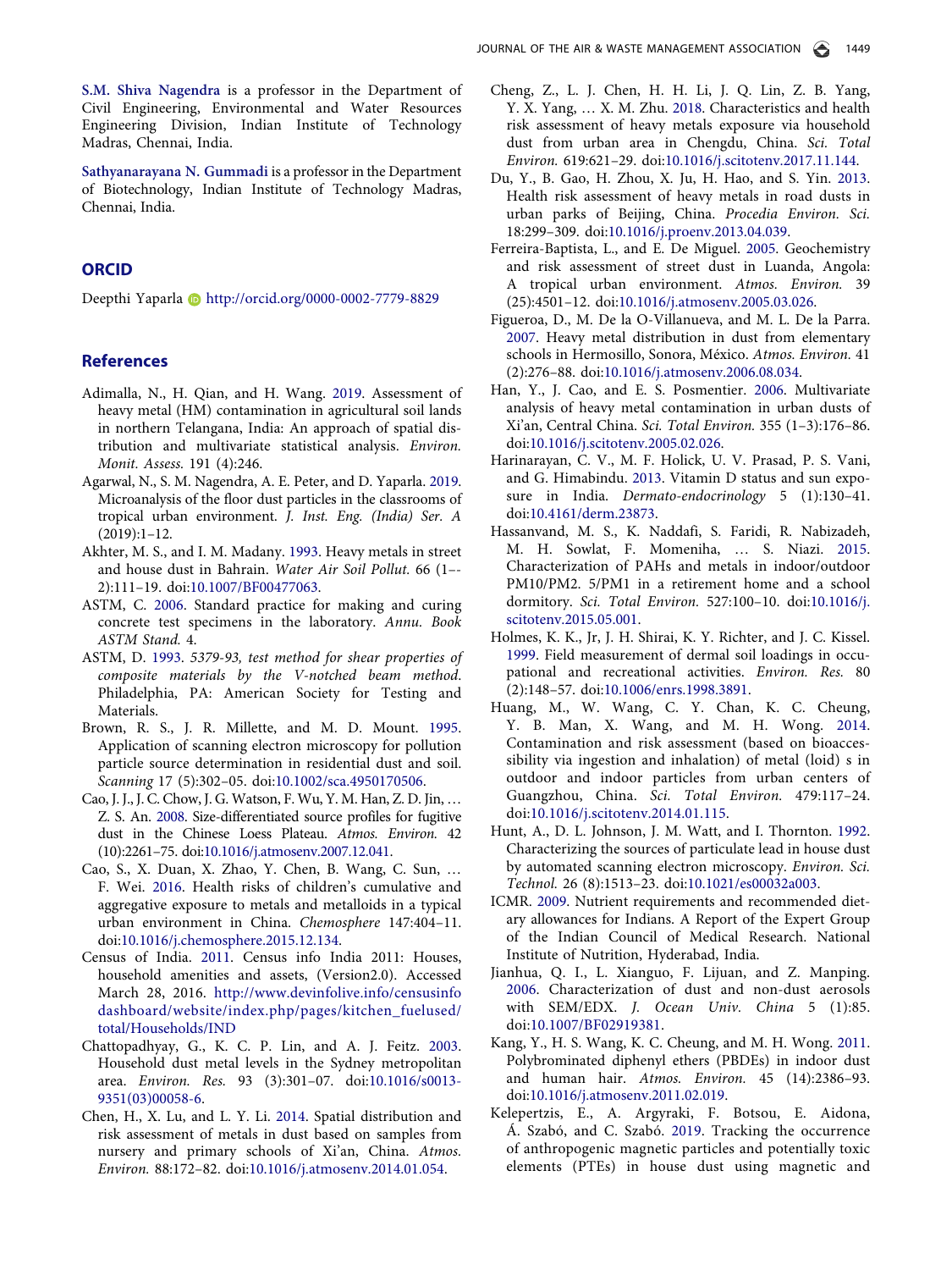S.M. Shiva Nagendra is a professor in the Department of Civil Engineering, Environmental and Water Resources Engineering Division, Indian Institute of Technology Madras, Chennai, India.

Sathyanarayana N. Gummadi is a professor in the Department of Biotechnology, Indian Institute of Technology Madras, Chennai, India.

## **ORCID**

Deepthi Yaparla **b** http://orcid.org/0000-0002-7779-8829

## **References**

- Adimalla, N., H. Qian, and H. Wang. 2019. Assessment of heavy metal (HM) contamination in agricultural soil lands in northern Telangana, India: An approach of spatial distribution and multivariate statistical analysis. Environ. Monit. Assess. 191 (4):246.
- Agarwal, N., S. M. Nagendra, A. E. Peter, and D. Yaparla. 2019. Microanalysis of the floor dust particles in the classrooms of tropical urban environment. J. Inst. Eng. (India) Ser. A  $(2019):1-12.$
- Akhter, M. S., and I. M. Madany. 1993. Heavy metals in street and house dust in Bahrain. Water Air Soil Pollut. 66 (1–- 2):111–19. doi:10.1007/BF00477063.
- ASTM, C. 2006. Standard practice for making and curing concrete test specimens in the laboratory. Annu. Book ASTM Stand. 4.
- ASTM, D. 1993. 5379-93, test method for shear properties of composite materials by the V-notched beam method. Philadelphia, PA: American Society for Testing and Materials.
- Brown, R. S., J. R. Millette, and M. D. Mount. 1995. Application of scanning electron microscopy for pollution particle source determination in residential dust and soil. Scanning 17 (5):302–05. doi:10.1002/sca.4950170506.
- Cao, J. J., J. C. Chow, J. G. Watson, F. Wu, Y. M. Han, Z. D. Jin, … Z. S. An. 2008. Size-differentiated source profiles for fugitive dust in the Chinese Loess Plateau. Atmos. Environ. 42 (10):2261–75. doi:10.1016/j.atmosenv.2007.12.041.
- Cao, S., X. Duan, X. Zhao, Y. Chen, B. Wang, C. Sun, … F. Wei. 2016. Health risks of children's cumulative and aggregative exposure to metals and metalloids in a typical urban environment in China. Chemosphere 147:404–11. doi:10.1016/j.chemosphere.2015.12.134.
- Census of India. 2011. Census info India 2011: Houses, household amenities and assets, (Version2.0). Accessed March 28, 2016. http://www.devinfolive.info/censusinfo dashboard/website/index.php/pages/kitchen\_fuelused/ total/Households/IND
- Chattopadhyay, G., K. C. P. Lin, and A. J. Feitz. 2003. Household dust metal levels in the Sydney metropolitan area. Environ. Res. 93 (3):301–07. doi:10.1016/s0013- 9351(03)00058-6.
- Chen, H., X. Lu, and L. Y. Li. 2014. Spatial distribution and risk assessment of metals in dust based on samples from nursery and primary schools of Xi'an, China. Atmos. Environ. 88:172–82. doi:10.1016/j.atmosenv.2014.01.054.
- Cheng, Z., L. J. Chen, H. H. Li, J. Q. Lin, Z. B. Yang, Y. X. Yang, … X. M. Zhu. 2018. Characteristics and health risk assessment of heavy metals exposure via household dust from urban area in Chengdu, China. Sci. Total Environ. 619:621–29. doi:10.1016/j.scitotenv.2017.11.144.
- Du, Y., B. Gao, H. Zhou, X. Ju, H. Hao, and S. Yin. 2013. Health risk assessment of heavy metals in road dusts in urban parks of Beijing, China. Procedia Environ. Sci. 18:299–309. doi:10.1016/j.proenv.2013.04.039.
- Ferreira-Baptista, L., and E. De Miguel. 2005. Geochemistry and risk assessment of street dust in Luanda, Angola: A tropical urban environment. Atmos. Environ. 39 (25):4501–12. doi:10.1016/j.atmosenv.2005.03.026.
- Figueroa, D., M. De la O-Villanueva, and M. L. De la Parra. 2007. Heavy metal distribution in dust from elementary schools in Hermosillo, Sonora, México. Atmos. Environ. 41 (2):276–88. doi:10.1016/j.atmosenv.2006.08.034.
- Han, Y., J. Cao, and E. S. Posmentier. 2006. Multivariate analysis of heavy metal contamination in urban dusts of Xi'an, Central China. Sci. Total Environ. 355 (1–3):176–86. doi:10.1016/j.scitotenv.2005.02.026.
- Harinarayan, C. V., M. F. Holick, U. V. Prasad, P. S. Vani, and G. Himabindu. 2013. Vitamin D status and sun exposure in India. Dermato-endocrinology 5 (1):130-41. doi:10.4161/derm.23873.
- Hassanvand, M. S., K. Naddafi, S. Faridi, R. Nabizadeh, M. H. Sowlat, F. Momeniha, … S. Niazi. 2015. Characterization of PAHs and metals in indoor/outdoor PM10/PM2. 5/PM1 in a retirement home and a school dormitory. Sci. Total Environ. 527:100–10. doi:10.1016/j. scitotenv.2015.05.001.
- Holmes, K. K., Jr, J. H. Shirai, K. Y. Richter, and J. C. Kissel. 1999. Field measurement of dermal soil loadings in occupational and recreational activities. Environ. Res. 80 (2):148–57. doi:10.1006/enrs.1998.3891.
- Huang, M., W. Wang, C. Y. Chan, K. C. Cheung, Y. B. Man, X. Wang, and M. H. Wong. 2014. Contamination and risk assessment (based on bioaccessibility via ingestion and inhalation) of metal (loid) s in outdoor and indoor particles from urban centers of Guangzhou, China. Sci. Total Environ. 479:117–24. doi:10.1016/j.scitotenv.2014.01.115.
- Hunt, A., D. L. Johnson, J. M. Watt, and I. Thornton. 1992. Characterizing the sources of particulate lead in house dust by automated scanning electron microscopy. Environ. Sci. Technol. 26 (8):1513–23. doi:10.1021/es00032a003.
- ICMR. 2009. Nutrient requirements and recommended dietary allowances for Indians. A Report of the Expert Group of the Indian Council of Medical Research. National Institute of Nutrition, Hyderabad, India.
- Jianhua, Q. I., L. Xianguo, F. Lijuan, and Z. Manping. 2006. Characterization of dust and non-dust aerosols with SEM/EDX. J. Ocean Univ. China 5 (1):85. doi:10.1007/BF02919381.
- Kang, Y., H. S. Wang, K. C. Cheung, and M. H. Wong. 2011. Polybrominated diphenyl ethers (PBDEs) in indoor dust and human hair. Atmos. Environ. 45 (14):2386–93. doi:10.1016/j.atmosenv.2011.02.019.
- Kelepertzis, E., A. Argyraki, F. Botsou, E. Aidona, Á. Szabó, and C. Szabó. 2019. Tracking the occurrence of anthropogenic magnetic particles and potentially toxic elements (PTEs) in house dust using magnetic and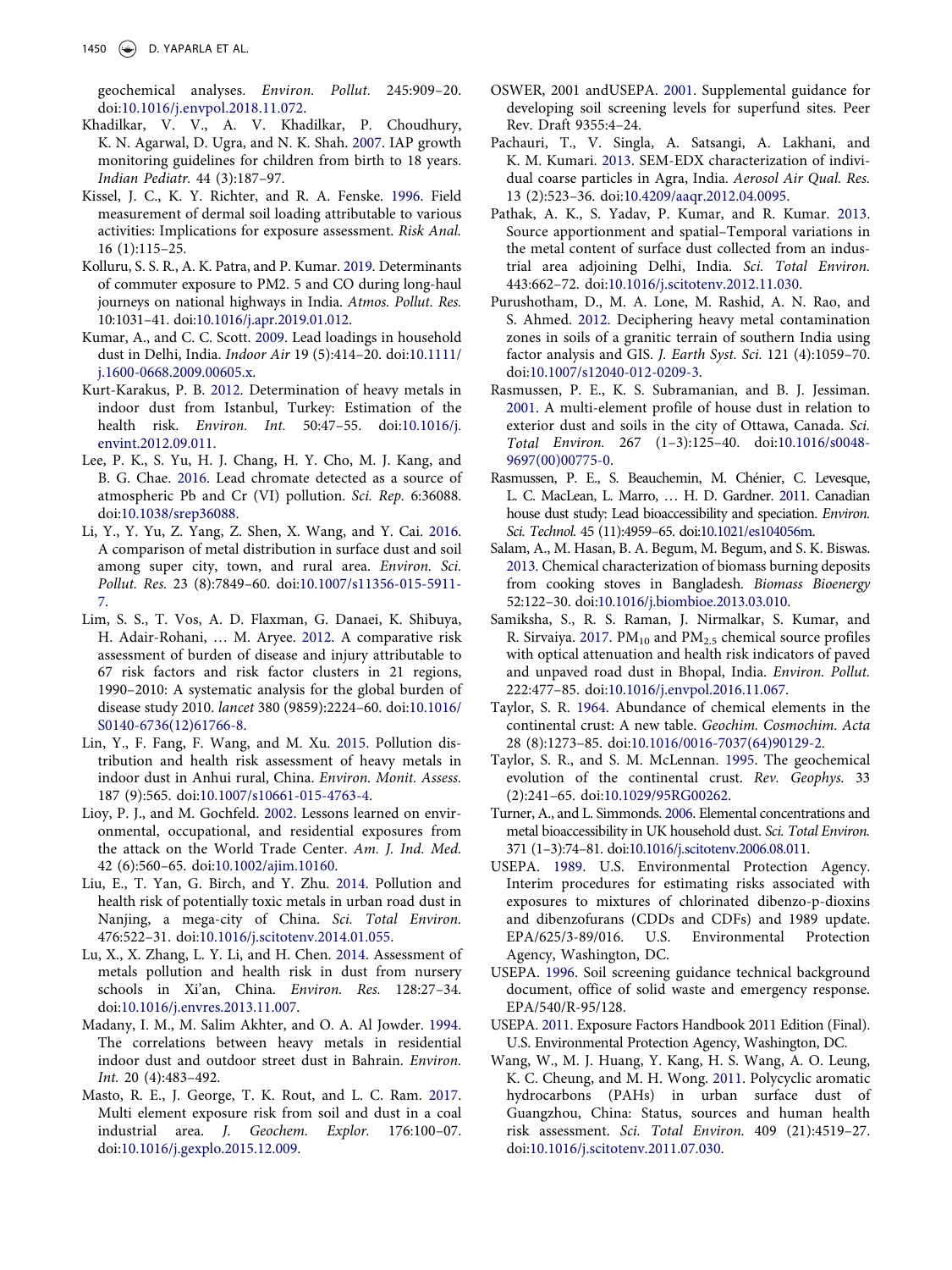geochemical analyses. Environ. Pollut. 245:909–20. doi:10.1016/j.envpol.2018.11.072.

- Khadilkar, V. V., A. V. Khadilkar, P. Choudhury, K. N. Agarwal, D. Ugra, and N. K. Shah. 2007. IAP growth monitoring guidelines for children from birth to 18 years. Indian Pediatr. 44 (3):187–97.
- Kissel, J. C., K. Y. Richter, and R. A. Fenske. 1996. Field measurement of dermal soil loading attributable to various activities: Implications for exposure assessment. Risk Anal. 16 (1):115–25.
- Kolluru, S. S. R., A. K. Patra, and P. Kumar. 2019. Determinants of commuter exposure to PM2. 5 and CO during long-haul journeys on national highways in India. Atmos. Pollut. Res. 10:1031–41. doi:10.1016/j.apr.2019.01.012.
- Kumar, A., and C. C. Scott. 2009. Lead loadings in household dust in Delhi, India. Indoor Air 19 (5):414–20. doi:10.1111/ j.1600-0668.2009.00605.x.
- Kurt-Karakus, P. B. 2012. Determination of heavy metals in indoor dust from Istanbul, Turkey: Estimation of the health risk. Environ. Int. 50:47–55. doi:10.1016/j. envint.2012.09.011.
- Lee, P. K., S. Yu, H. J. Chang, H. Y. Cho, M. J. Kang, and B. G. Chae. 2016. Lead chromate detected as a source of atmospheric Pb and Cr (VI) pollution. Sci. Rep. 6:36088. doi:10.1038/srep36088.
- Li, Y., Y. Yu, Z. Yang, Z. Shen, X. Wang, and Y. Cai. 2016. A comparison of metal distribution in surface dust and soil among super city, town, and rural area. *Environ*. Sci. Pollut. Res. 23 (8):7849–60. doi:10.1007/s11356-015-5911- 7.
- Lim, S. S., T. Vos, A. D. Flaxman, G. Danaei, K. Shibuya, H. Adair-Rohani, … M. Aryee. 2012. A comparative risk assessment of burden of disease and injury attributable to 67 risk factors and risk factor clusters in 21 regions, 1990–2010: A systematic analysis for the global burden of disease study 2010. lancet 380 (9859):2224–60. doi:10.1016/ S0140-6736(12)61766-8.
- Lin, Y., F. Fang, F. Wang, and M. Xu. 2015. Pollution distribution and health risk assessment of heavy metals in indoor dust in Anhui rural, China. Environ. Monit. Assess. 187 (9):565. doi:10.1007/s10661-015-4763-4.
- Lioy, P. J., and M. Gochfeld. 2002. Lessons learned on environmental, occupational, and residential exposures from the attack on the World Trade Center. Am. J. Ind. Med. 42 (6):560–65. doi:10.1002/ajim.10160.
- Liu, E., T. Yan, G. Birch, and Y. Zhu. 2014. Pollution and health risk of potentially toxic metals in urban road dust in Nanjing, a mega-city of China. Sci. Total Environ. 476:522–31. doi:10.1016/j.scitotenv.2014.01.055.
- Lu, X., X. Zhang, L. Y. Li, and H. Chen. 2014. Assessment of metals pollution and health risk in dust from nursery schools in Xi'an, China. Environ. Res. 128:27–34. doi:10.1016/j.envres.2013.11.007.
- Madany, I. M., M. Salim Akhter, and O. A. Al Jowder. 1994. The correlations between heavy metals in residential indoor dust and outdoor street dust in Bahrain. Environ. Int. 20 (4):483–492.
- Masto, R. E., J. George, T. K. Rout, and L. C. Ram. 2017. Multi element exposure risk from soil and dust in a coal industrial area. J. Geochem. Explor. 176:100–07. doi:10.1016/j.gexplo.2015.12.009.
- OSWER, 2001 andUSEPA. 2001. Supplemental guidance for developing soil screening levels for superfund sites. Peer Rev. Draft 9355:4–24.
- Pachauri, T., V. Singla, A. Satsangi, A. Lakhani, and K. M. Kumari. 2013. SEM-EDX characterization of individual coarse particles in Agra, India. Aerosol Air Qual. Res. 13 (2):523–36. doi:10.4209/aaqr.2012.04.0095.
- Pathak, A. K., S. Yadav, P. Kumar, and R. Kumar. 2013. Source apportionment and spatial–Temporal variations in the metal content of surface dust collected from an industrial area adjoining Delhi, India. Sci. Total Environ. 443:662–72. doi:10.1016/j.scitotenv.2012.11.030.
- Purushotham, D., M. A. Lone, M. Rashid, A. N. Rao, and S. Ahmed. 2012. Deciphering heavy metal contamination zones in soils of a granitic terrain of southern India using factor analysis and GIS. J. Earth Syst. Sci. 121 (4):1059–70. doi:10.1007/s12040-012-0209-3.
- Rasmussen, P. E., K. S. Subramanian, and B. J. Jessiman. 2001. A multi-element profile of house dust in relation to exterior dust and soils in the city of Ottawa, Canada. Sci. Total Environ. 267 (1–3):125–40. doi:10.1016/s0048- 9697(00)00775-0.
- Rasmussen, P. E., S. Beauchemin, M. Chénier, C. Levesque, L. C. MacLean, L. Marro, … H. D. Gardner. 2011. Canadian house dust study: Lead bioaccessibility and speciation. Environ. Sci. Technol. 45 (11):4959–65. doi:10.1021/es104056m.
- Salam, A., M. Hasan, B. A. Begum, M. Begum, and S. K. Biswas. 2013. Chemical characterization of biomass burning deposits from cooking stoves in Bangladesh. Biomass Bioenergy 52:122–30. doi:10.1016/j.biombioe.2013.03.010.
- Samiksha, S., R. S. Raman, J. Nirmalkar, S. Kumar, and R. Sirvaiya. 2017. P $M_{10}$  and P $M_{2.5}$  chemical source profiles with optical attenuation and health risk indicators of paved and unpaved road dust in Bhopal, India. Environ. Pollut. 222:477–85. doi:10.1016/j.envpol.2016.11.067.
- Taylor, S. R. 1964. Abundance of chemical elements in the continental crust: A new table. Geochim. Cosmochim. Acta 28 (8):1273–85. doi:10.1016/0016-7037(64)90129-2.
- Taylor, S. R., and S. M. McLennan. 1995. The geochemical evolution of the continental crust. Rev. Geophys. 33 (2):241–65. doi:10.1029/95RG00262.
- Turner, A., and L. Simmonds. 2006. Elemental concentrations and metal bioaccessibility in UK household dust. Sci. Total Environ. 371 (1–3):74–81. doi:10.1016/j.scitotenv.2006.08.011.
- USEPA. 1989. U.S. Environmental Protection Agency. Interim procedures for estimating risks associated with exposures to mixtures of chlorinated dibenzo-p-dioxins and dibenzofurans (CDDs and CDFs) and 1989 update. EPA/625/3-89/016. U.S. Environmental Protection Agency, Washington, DC.
- USEPA. 1996. Soil screening guidance technical background document, office of solid waste and emergency response. EPA/540/R-95/128.
- USEPA. 2011. Exposure Factors Handbook 2011 Edition (Final). U.S. Environmental Protection Agency, Washington, DC.
- Wang, W., M. J. Huang, Y. Kang, H. S. Wang, A. O. Leung, K. C. Cheung, and M. H. Wong. 2011. Polycyclic aromatic hydrocarbons (PAHs) in urban surface dust of Guangzhou, China: Status, sources and human health risk assessment. Sci. Total Environ. 409 (21):4519–27. doi:10.1016/j.scitotenv.2011.07.030.